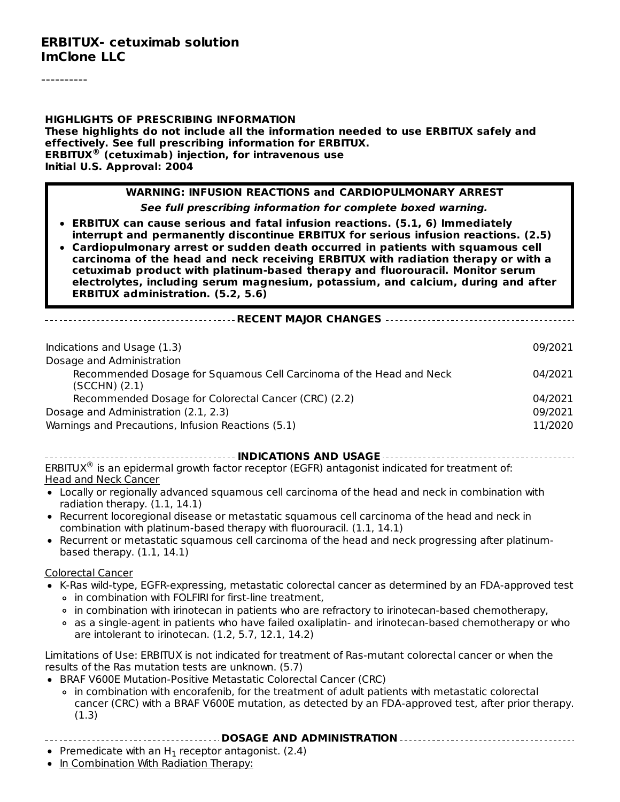#### **ERBITUX- cetuximab solution ImClone LLC**

**HIGHLIGHTS OF PRESCRIBING INFORMATION These highlights do not include all the information needed to use ERBITUX safely and effectively. See full prescribing information for ERBITUX. ERBITUX (cetuximab) injection, for intravenous use ® Initial U.S. Approval: 2004**

#### **WARNING: INFUSION REACTIONS and CARDIOPULMONARY ARREST**

**See full prescribing information for complete boxed warning.**

- **ERBITUX can cause serious and fatal infusion reactions. (5.1, 6) Immediately interrupt and permanently discontinue ERBITUX for serious infusion reactions. (2.5)**
- **Cardiopulmonary arrest or sudden death occurred in patients with squamous cell carcinoma of the head and neck receiving ERBITUX with radiation therapy or with a cetuximab product with platinum-based therapy and fluorouracil. Monitor serum electrolytes, including serum magnesium, potassium, and calcium, during and after ERBITUX administration. (5.2, 5.6)**

**RECENT MAJOR CHANGES**

| Indications and Usage (1.3)                                                              | 09/2021 |
|------------------------------------------------------------------------------------------|---------|
| Dosage and Administration                                                                |         |
| Recommended Dosage for Squamous Cell Carcinoma of the Head and Neck<br>$(SCCHN)$ $(2.1)$ | 04/2021 |
| Recommended Dosage for Colorectal Cancer (CRC) (2.2)                                     | 04/2021 |
| Dosage and Administration (2.1, 2.3)                                                     | 09/2021 |
| Warnings and Precautions, Infusion Reactions (5.1)                                       | 11/2020 |

**INDICATIONS AND USAGE** ERBITUX<sup>®</sup> is an epidermal growth factor receptor (EGFR) antagonist indicated for treatment of: Head and Neck Cancer

- Locally or regionally advanced squamous cell carcinoma of the head and neck in combination with radiation therapy. (1.1, 14.1)
- Recurrent locoregional disease or metastatic squamous cell carcinoma of the head and neck in combination with platinum-based therapy with fluorouracil. (1.1, 14.1)
- Recurrent or metastatic squamous cell carcinoma of the head and neck progressing after platinumbased therapy. (1.1, 14.1)

#### Colorectal Cancer

- K-Ras wild-type, EGFR-expressing, metastatic colorectal cancer as determined by an FDA-approved test o in combination with FOLFIRI for first-line treatment.
	- in combination with irinotecan in patients who are refractory to irinotecan-based chemotherapy,
	- as a single-agent in patients who have failed oxaliplatin- and irinotecan-based chemotherapy or who are intolerant to irinotecan. (1.2, 5.7, 12.1, 14.2)

Limitations of Use: ERBITUX is not indicated for treatment of Ras-mutant colorectal cancer or when the results of the Ras mutation tests are unknown. (5.7)

- BRAF V600E Mutation-Positive Metastatic Colorectal Cancer (CRC)
	- in combination with encorafenib, for the treatment of adult patients with metastatic colorectal cancer (CRC) with a BRAF V600E mutation, as detected by an FDA-approved test, after prior therapy.  $(1.3)$
- **DOSAGE AND ADMINISTRATION**
- Premedicate with an  $H_1$  receptor antagonist. (2.4)
- In Combination With Radiation Therapy: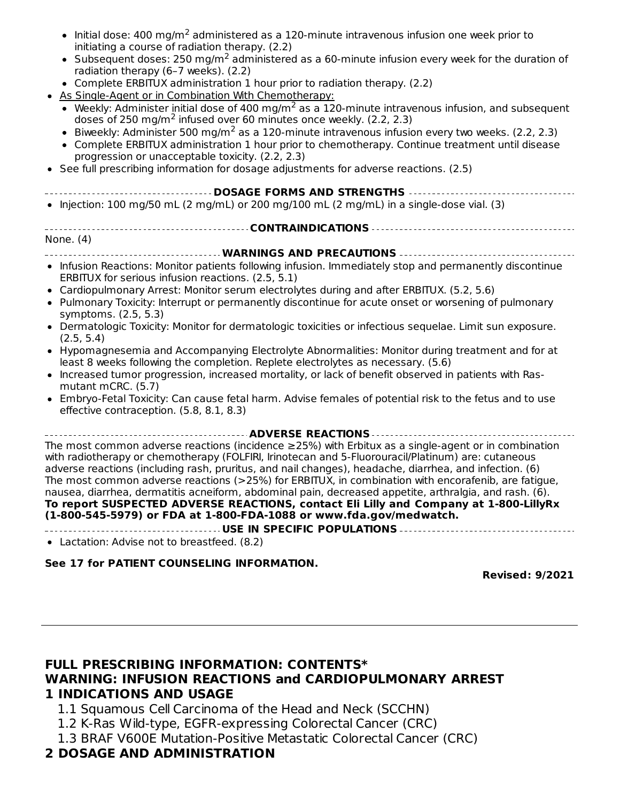- Initial dose: 400 mg/m<sup>2</sup> administered as a 120-minute intravenous infusion one week prior to initiating a course of radiation therapy. (2.2)
- Subsequent doses: 250 mg/m<sup>2</sup> administered as a 60-minute infusion every week for the duration of radiation therapy (6–7 weeks). (2.2)
- Complete ERBITUX administration 1 hour prior to radiation therapy. (2.2)
- As Single-Agent or in Combination With Chemotherapy:
	- Weekly: Administer initial dose of 400 mg/m<sup>2</sup> as a 120-minute intravenous infusion, and subsequent doses of 250 mg/m<sup>2</sup> infused over 60 minutes once weekly. (2.2, 2.3)
	- Biweekly: Administer 500 mg/m<sup>2</sup> as a 120-minute intravenous infusion every two weeks. (2.2, 2.3)
- Complete ERBITUX administration 1 hour prior to chemotherapy. Continue treatment until disease progression or unacceptable toxicity. (2.2, 2.3)
- See full prescribing information for dosage adjustments for adverse reactions. (2.5)
- **DOSAGE FORMS AND STRENGTHS**
- $\bullet$  Injection: 100 mg/50 mL (2 mg/mL) or 200 mg/100 mL (2 mg/mL) in a single-dose vial. (3)

#### **CONTRAINDICATIONS** None. (4) **WARNINGS AND PRECAUTIONS**

- Infusion Reactions: Monitor patients following infusion. Immediately stop and permanently discontinue ERBITUX for serious infusion reactions. (2.5, 5.1)
- Cardiopulmonary Arrest: Monitor serum electrolytes during and after ERBITUX. (5.2, 5.6)
- Pulmonary Toxicity: Interrupt or permanently discontinue for acute onset or worsening of pulmonary symptoms. (2.5, 5.3)
- Dermatologic Toxicity: Monitor for dermatologic toxicities or infectious sequelae. Limit sun exposure. (2.5, 5.4)
- Hypomagnesemia and Accompanying Electrolyte Abnormalities: Monitor during treatment and for at least 8 weeks following the completion. Replete electrolytes as necessary. (5.6)
- Increased tumor progression, increased mortality, or lack of benefit observed in patients with Rasmutant mCRC. (5.7)
- Embryo-Fetal Toxicity: Can cause fetal harm. Advise females of potential risk to the fetus and to use effective contraception. (5.8, 8.1, 8.3)

**ADVERSE REACTIONS**

The most common adverse reactions (incidence ≥25%) with Erbitux as a single-agent or in combination with radiotherapy or chemotherapy (FOLFIRI, Irinotecan and 5-Fluorouracil/Platinum) are: cutaneous adverse reactions (including rash, pruritus, and nail changes), headache, diarrhea, and infection. (6) The most common adverse reactions (>25%) for ERBITUX, in combination with encorafenib, are fatigue, nausea, diarrhea, dermatitis acneiform, abdominal pain, decreased appetite, arthralgia, and rash. (6). **To report SUSPECTED ADVERSE REACTIONS, contact Eli Lilly and Company at 1-800-LillyRx (1-800-545-5979) or FDA at 1-800-FDA-1088 or www.fda.gov/medwatch.**

**USE IN SPECIFIC POPULATIONS**

Lactation: Advise not to breastfeed. (8.2)

#### **See 17 for PATIENT COUNSELING INFORMATION.**

**Revised: 9/2021**

#### **FULL PRESCRIBING INFORMATION: CONTENTS\* WARNING: INFUSION REACTIONS and CARDIOPULMONARY ARREST 1 INDICATIONS AND USAGE**

- 1.1 Squamous Cell Carcinoma of the Head and Neck (SCCHN)
- 1.2 K-Ras Wild-type, EGFR-expressing Colorectal Cancer (CRC)
- 1.3 BRAF V600E Mutation-Positive Metastatic Colorectal Cancer (CRC)

### **2 DOSAGE AND ADMINISTRATION**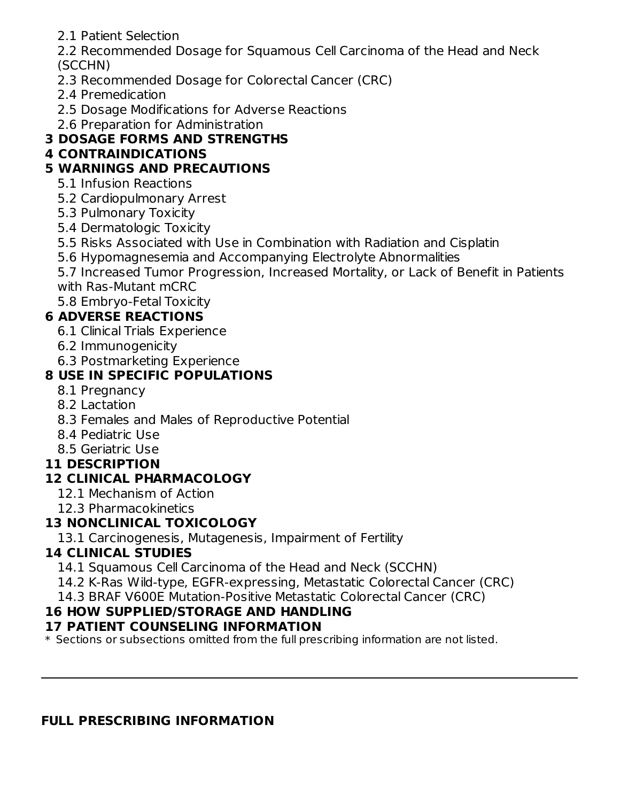2.1 Patient Selection

2.2 Recommended Dosage for Squamous Cell Carcinoma of the Head and Neck (SCCHN)

- 2.3 Recommended Dosage for Colorectal Cancer (CRC)
- 2.4 Premedication
- 2.5 Dosage Modifications for Adverse Reactions
- 2.6 Preparation for Administration

# **3 DOSAGE FORMS AND STRENGTHS**

# **4 CONTRAINDICATIONS**

# **5 WARNINGS AND PRECAUTIONS**

- 5.1 Infusion Reactions
- 5.2 Cardiopulmonary Arrest
- 5.3 Pulmonary Toxicity
- 5.4 Dermatologic Toxicity
- 5.5 Risks Associated with Use in Combination with Radiation and Cisplatin
- 5.6 Hypomagnesemia and Accompanying Electrolyte Abnormalities

5.7 Increased Tumor Progression, Increased Mortality, or Lack of Benefit in Patients with Ras-Mutant mCRC

5.8 Embryo-Fetal Toxicity

# **6 ADVERSE REACTIONS**

- 6.1 Clinical Trials Experience
- 6.2 Immunogenicity
- 6.3 Postmarketing Experience

# **8 USE IN SPECIFIC POPULATIONS**

- 8.1 Pregnancy
- 8.2 Lactation
- 8.3 Females and Males of Reproductive Potential
- 8.4 Pediatric Use
- 8.5 Geriatric Use

# **11 DESCRIPTION**

# **12 CLINICAL PHARMACOLOGY**

- 12.1 Mechanism of Action
- 12.3 Pharmacokinetics

# **13 NONCLINICAL TOXICOLOGY**

13.1 Carcinogenesis, Mutagenesis, Impairment of Fertility

# **14 CLINICAL STUDIES**

- 14.1 Squamous Cell Carcinoma of the Head and Neck (SCCHN)
- 14.2 K-Ras Wild-type, EGFR-expressing, Metastatic Colorectal Cancer (CRC)
- 14.3 BRAF V600E Mutation-Positive Metastatic Colorectal Cancer (CRC)

# **16 HOW SUPPLIED/STORAGE AND HANDLING**

### **17 PATIENT COUNSELING INFORMATION**

 $\ast$  Sections or subsections omitted from the full prescribing information are not listed.

#### **FULL PRESCRIBING INFORMATION**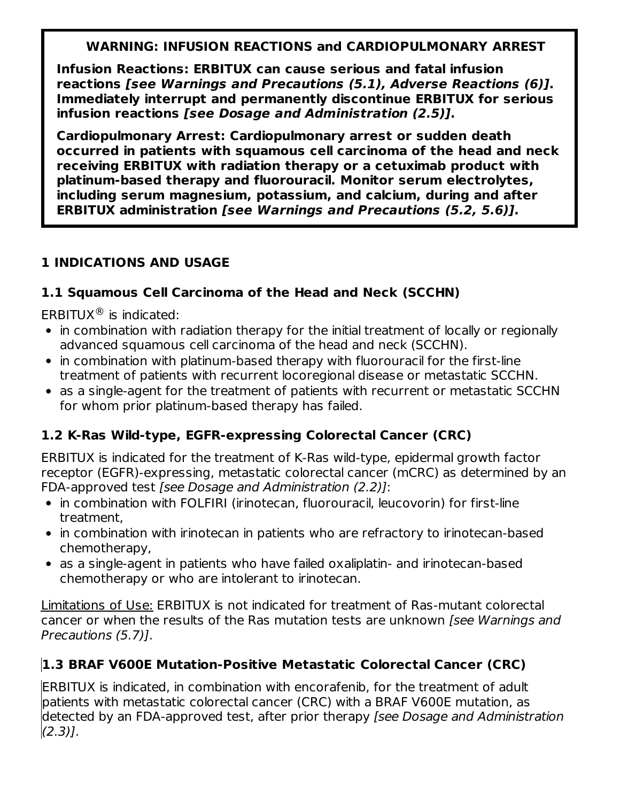### **WARNING: INFUSION REACTIONS and CARDIOPULMONARY ARREST**

**Infusion Reactions: ERBITUX can cause serious and fatal infusion reactions [see Warnings and Precautions (5.1), Adverse Reactions (6)]. Immediately interrupt and permanently discontinue ERBITUX for serious infusion reactions [see Dosage and Administration (2.5)].**

**Cardiopulmonary Arrest: Cardiopulmonary arrest or sudden death occurred in patients with squamous cell carcinoma of the head and neck receiving ERBITUX with radiation therapy or a cetuximab product with platinum-based therapy and fluorouracil. Monitor serum electrolytes, including serum magnesium, potassium, and calcium, during and after ERBITUX administration [see Warnings and Precautions (5.2, 5.6)].**

### **1 INDICATIONS AND USAGE**

### **1.1 Squamous Cell Carcinoma of the Head and Neck (SCCHN)**

ERBITUX $\circledast$  is indicated:

- in combination with radiation therapy for the initial treatment of locally or regionally advanced squamous cell carcinoma of the head and neck (SCCHN).
- in combination with platinum-based therapy with fluorouracil for the first-line treatment of patients with recurrent locoregional disease or metastatic SCCHN.
- as a single-agent for the treatment of patients with recurrent or metastatic SCCHN for whom prior platinum-based therapy has failed.

# **1.2 K-Ras Wild-type, EGFR-expressing Colorectal Cancer (CRC)**

ERBITUX is indicated for the treatment of K-Ras wild-type, epidermal growth factor receptor (EGFR)-expressing, metastatic colorectal cancer (mCRC) as determined by an FDA-approved test [see Dosage and Administration (2.2)]:

- in combination with FOLFIRI (irinotecan, fluorouracil, leucovorin) for first-line treatment,
- in combination with irinotecan in patients who are refractory to irinotecan-based chemotherapy,
- as a single-agent in patients who have failed oxaliplatin- and irinotecan-based chemotherapy or who are intolerant to irinotecan.

Limitations of Use: ERBITUX is not indicated for treatment of Ras-mutant colorectal cancer or when the results of the Ras mutation tests are unknown [see Warnings and Precautions (5.7)].

# **1.3 BRAF V600E Mutation-Positive Metastatic Colorectal Cancer (CRC)**

ERBITUX is indicated, in combination with encorafenib, for the treatment of adult patients with metastatic colorectal cancer (CRC) with a BRAF V600E mutation, as detected by an FDA-approved test, after prior therapy [see Dosage and Administration  $(2.3)$ ].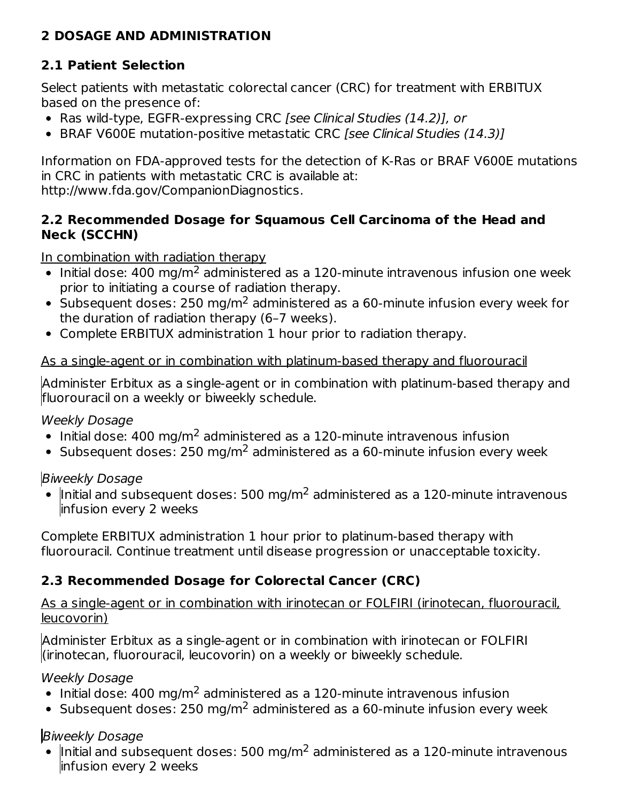### **2 DOSAGE AND ADMINISTRATION**

# **2.1 Patient Selection**

Select patients with metastatic colorectal cancer (CRC) for treatment with ERBITUX based on the presence of:

- Ras wild-type, EGFR-expressing CRC [see Clinical Studies (14.2)], or
- BRAF V600E mutation-positive metastatic CRC [see Clinical Studies (14.3)]

Information on FDA-approved tests for the detection of K-Ras or BRAF V600E mutations in CRC in patients with metastatic CRC is available at: http://www.fda.gov/CompanionDiagnostics.

#### **2.2 Recommended Dosage for Squamous Cell Carcinoma of the Head and Neck (SCCHN)**

In combination with radiation therapy

- Initial dose: 400 mg/m<sup>2</sup> administered as a 120-minute intravenous infusion one week prior to initiating a course of radiation therapy.
- Subsequent doses: 250 mg/m<sup>2</sup> administered as a 60-minute infusion every week for the duration of radiation therapy (6–7 weeks).
- Complete ERBITUX administration 1 hour prior to radiation therapy.

### As a single-agent or in combination with platinum-based therapy and fluorouracil

Administer Erbitux as a single-agent or in combination with platinum-based therapy and fluorouracil on a weekly or biweekly schedule.

Weekly Dosage

- Initial dose:  $400 \text{ mg/m}^2$  administered as a 120-minute intravenous infusion
- Subsequent doses: 250 mg/m<sup>2</sup> administered as a 60-minute infusion every week

Biweekly Dosage

Initial and subsequent doses: 500 mg/m<sup>2</sup> administered as a 120-minute intravenous infusion every 2 weeks

Complete ERBITUX administration 1 hour prior to platinum-based therapy with fluorouracil. Continue treatment until disease progression or unacceptable toxicity.

# **2.3 Recommended Dosage for Colorectal Cancer (CRC)**

As a single-agent or in combination with irinotecan or FOLFIRI (irinotecan, fluorouracil, leucovorin)

Administer Erbitux as a single-agent or in combination with irinotecan or FOLFIRI (irinotecan, fluorouracil, leucovorin) on a weekly or biweekly schedule.

Weekly Dosage

- Initial dose: 400 mg/m<sup>2</sup> administered as a 120-minute intravenous infusion
- Subsequent doses: 250 mg/m<sup>2</sup> administered as a 60-minute infusion every week

# Biweekly Dosage

Initial and subsequent doses: 500 mg/m<sup>2</sup> administered as a 120-minute intravenous infusion every 2 weeks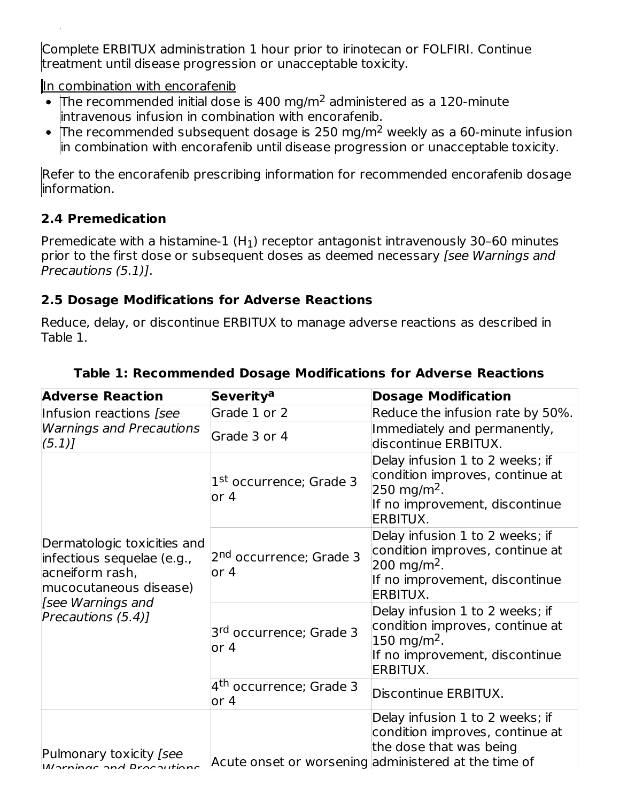Complete ERBITUX administration 1 hour prior to irinotecan or FOLFIRI. Continue treatment until disease progression or unacceptable toxicity.

In combination with encorafenib

- The recommended initial dose is 400 mg/m<sup>2</sup> administered as a 120-minute intravenous infusion in combination with encorafenib.
- The recommended subsequent dosage is 250 mg/m<sup>2</sup> weekly as a 60-minute infusion in combination with encorafenib until disease progression or unacceptable toxicity.

Refer to the encorafenib prescribing information for recommended encorafenib dosage information.

# **2.4 Premedication**

 $\ddot{\phantom{a}}$ 

Premedicate with a histamine-1  $(H_1)$  receptor antagonist intravenously 30–60 minutes prior to the first dose or subsequent doses as deemed necessary [see Warnings and Precautions (5.1)].

### **2.5 Dosage Modifications for Adverse Reactions**

Reduce, delay, or discontinue ERBITUX to manage adverse reactions as described in Table 1.

| <b>Adverse Reaction</b>                                                                                                                           | <b>Severitya</b>                              | <b>Dosage Modification</b>                                                                                                                            |
|---------------------------------------------------------------------------------------------------------------------------------------------------|-----------------------------------------------|-------------------------------------------------------------------------------------------------------------------------------------------------------|
| Infusion reactions [see                                                                                                                           | Grade 1 or 2                                  | Reduce the infusion rate by 50%.                                                                                                                      |
| <b>Warnings and Precautions</b><br>(5.1)                                                                                                          | Grade 3 or 4                                  | Immediately and permanently,<br>discontinue ERBITUX.                                                                                                  |
|                                                                                                                                                   | 1 <sup>st</sup> occurrence; Grade 3<br>or 4   | Delay infusion 1 to 2 weeks; if<br>condition improves, continue at<br>$250 \,\mathrm{mg/m^2}$ .<br>If no improvement, discontinue<br>ERBITUX.         |
| Dermatologic toxicities and<br>infectious sequelae (e.g.,<br>acneiform rash,<br>mucocutaneous disease)<br>[see Warnings and<br>Precautions (5.4)] | 2 <sup>nd</sup> occurrence; Grade 3<br>or $4$ | Delay infusion 1 to 2 weeks; if<br>condition improves, continue at<br>$200 \,\mathrm{mg/m^2}$ .<br>If no improvement, discontinue<br>ERBITUX.         |
|                                                                                                                                                   | 3 <sup>rd</sup> occurrence; Grade 3<br>or 4   | Delay infusion 1 to 2 weeks; if<br>condition improves, continue at<br>$150 \; \text{mg/m}^2$ .<br>If no improvement, discontinue<br>ERBITUX.          |
|                                                                                                                                                   | 4 <sup>th</sup> occurrence; Grade 3<br>or 4   | Discontinue ERBITUX.                                                                                                                                  |
| Pulmonary toxicity [see<br>IMarnings and Drocautions                                                                                              |                                               | Delay infusion 1 to 2 weeks; if<br>condition improves, continue at<br>the dose that was being<br>Acute onset or worsening administered at the time of |

### **Table 1: Recommended Dosage Modifications for Adverse Reactions**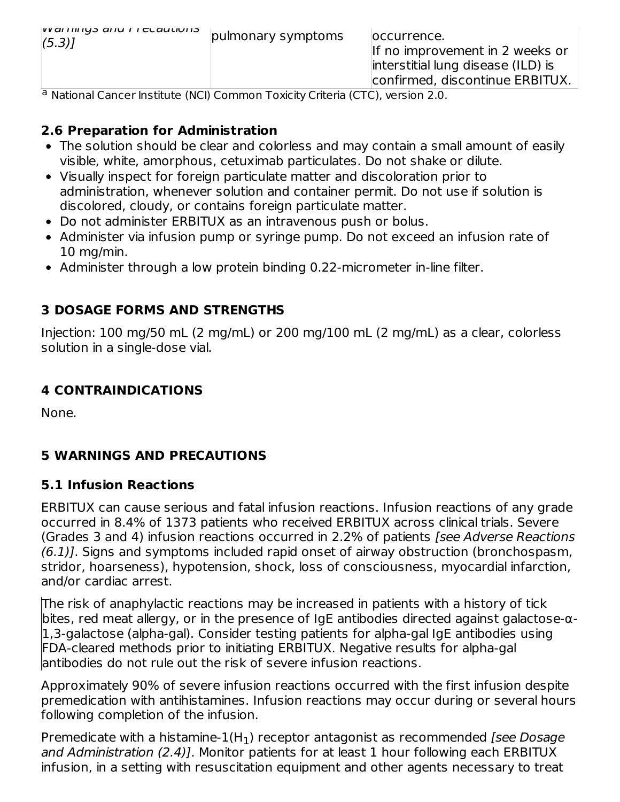| $ VV$ al Hillys and Fituautions<br>(5.3) | pulmonary symptoms | loccurrence.<br>If no improvement in 2 weeks or<br>interstitial lung disease (ILD) is<br>confirmed, discontinue ERBITUX. |
|------------------------------------------|--------------------|--------------------------------------------------------------------------------------------------------------------------|
|                                          |                    |                                                                                                                          |

<sup>a</sup> National Cancer Institute (NCI) Common Toxicity Criteria (CTC), version 2.0.

#### **2.6 Preparation for Administration**

- The solution should be clear and colorless and may contain a small amount of easily visible, white, amorphous, cetuximab particulates. Do not shake or dilute.
- Visually inspect for foreign particulate matter and discoloration prior to administration, whenever solution and container permit. Do not use if solution is discolored, cloudy, or contains foreign particulate matter.
- Do not administer ERBITUX as an intravenous push or bolus.
- Administer via infusion pump or syringe pump. Do not exceed an infusion rate of 10 mg/min.
- Administer through a low protein binding 0.22-micrometer in-line filter.

### **3 DOSAGE FORMS AND STRENGTHS**

Injection: 100 mg/50 mL (2 mg/mL) or 200 mg/100 mL (2 mg/mL) as a clear, colorless solution in a single-dose vial.

### **4 CONTRAINDICATIONS**

None.

# **5 WARNINGS AND PRECAUTIONS**

#### **5.1 Infusion Reactions**

ERBITUX can cause serious and fatal infusion reactions. Infusion reactions of any grade occurred in 8.4% of 1373 patients who received ERBITUX across clinical trials. Severe (Grades 3 and 4) infusion reactions occurred in 2.2% of patients [see Adverse Reactions (6.1)]. Signs and symptoms included rapid onset of airway obstruction (bronchospasm, stridor, hoarseness), hypotension, shock, loss of consciousness, myocardial infarction, and/or cardiac arrest.

The risk of anaphylactic reactions may be increased in patients with a history of tick bites, red meat allergy, or in the presence of IgE antibodies directed against galactose-α-1,3-galactose (alpha-gal). Consider testing patients for alpha-gal IgE antibodies using FDA-cleared methods prior to initiating ERBITUX. Negative results for alpha-gal antibodies do not rule out the risk of severe infusion reactions.

Approximately 90% of severe infusion reactions occurred with the first infusion despite premedication with antihistamines. Infusion reactions may occur during or several hours following completion of the infusion.

Premedicate with a histamine- $1(\mathsf{H}_1)$  receptor antagonist as recommended [see Dosage] and Administration (2.4)]. Monitor patients for at least 1 hour following each ERBITUX infusion, in a setting with resuscitation equipment and other agents necessary to treat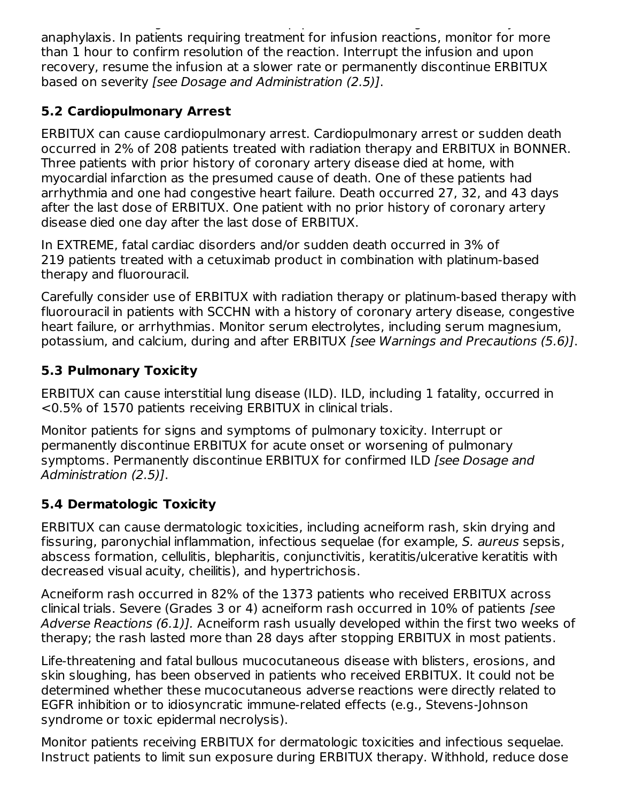infusion, in a setting with resuscitation equipment and other agents necessary to treat anaphylaxis. In patients requiring treatment for infusion reactions, monitor for more than 1 hour to confirm resolution of the reaction. Interrupt the infusion and upon recovery, resume the infusion at a slower rate or permanently discontinue ERBITUX based on severity [see Dosage and Administration (2.5)].

# **5.2 Cardiopulmonary Arrest**

ERBITUX can cause cardiopulmonary arrest. Cardiopulmonary arrest or sudden death occurred in 2% of 208 patients treated with radiation therapy and ERBITUX in BONNER. Three patients with prior history of coronary artery disease died at home, with myocardial infarction as the presumed cause of death. One of these patients had arrhythmia and one had congestive heart failure. Death occurred 27, 32, and 43 days after the last dose of ERBITUX. One patient with no prior history of coronary artery disease died one day after the last dose of ERBITUX.

In EXTREME, fatal cardiac disorders and/or sudden death occurred in 3% of 219 patients treated with a cetuximab product in combination with platinum-based therapy and fluorouracil.

Carefully consider use of ERBITUX with radiation therapy or platinum-based therapy with fluorouracil in patients with SCCHN with a history of coronary artery disease, congestive heart failure, or arrhythmias. Monitor serum electrolytes, including serum magnesium, potassium, and calcium, during and after ERBITUX [see Warnings and Precautions (5.6)].

# **5.3 Pulmonary Toxicity**

ERBITUX can cause interstitial lung disease (ILD). ILD, including 1 fatality, occurred in <0.5% of 1570 patients receiving ERBITUX in clinical trials.

Monitor patients for signs and symptoms of pulmonary toxicity. Interrupt or permanently discontinue ERBITUX for acute onset or worsening of pulmonary symptoms. Permanently discontinue ERBITUX for confirmed ILD [see Dosage and Administration (2.5)].

# **5.4 Dermatologic Toxicity**

ERBITUX can cause dermatologic toxicities, including acneiform rash, skin drying and fissuring, paronychial inflammation, infectious sequelae (for example, S. aureus sepsis, abscess formation, cellulitis, blepharitis, conjunctivitis, keratitis/ulcerative keratitis with decreased visual acuity, cheilitis), and hypertrichosis.

Acneiform rash occurred in 82% of the 1373 patients who received ERBITUX across clinical trials. Severe (Grades 3 or 4) acneiform rash occurred in 10% of patients [see Adverse Reactions (6.1)]. Acneiform rash usually developed within the first two weeks of therapy; the rash lasted more than 28 days after stopping ERBITUX in most patients.

Life-threatening and fatal bullous mucocutaneous disease with blisters, erosions, and skin sloughing, has been observed in patients who received ERBITUX. It could not be determined whether these mucocutaneous adverse reactions were directly related to EGFR inhibition or to idiosyncratic immune-related effects (e.g., Stevens-Johnson syndrome or toxic epidermal necrolysis).

Monitor patients receiving ERBITUX for dermatologic toxicities and infectious sequelae. Instruct patients to limit sun exposure during ERBITUX therapy. Withhold, reduce dose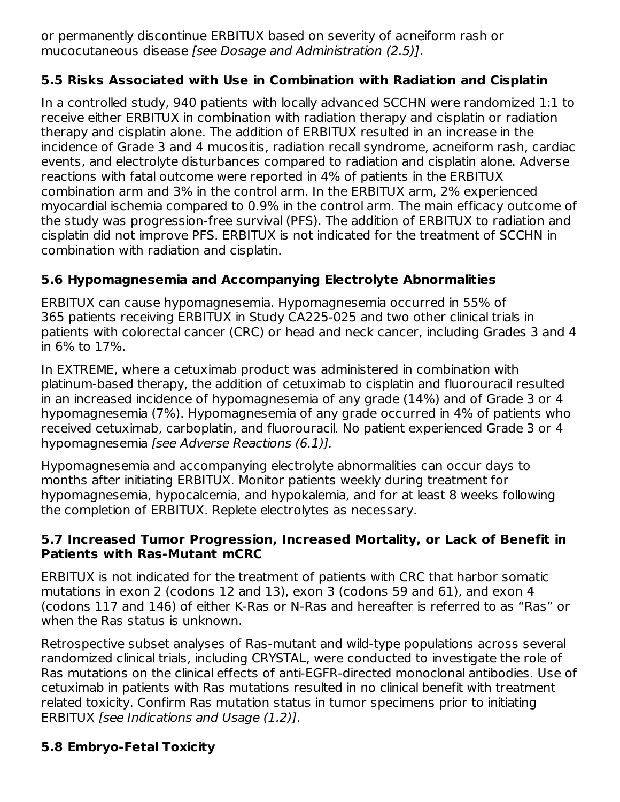or permanently discontinue ERBITUX based on severity of acneiform rash or mucocutaneous disease [see Dosage and Administration (2.5)].

### **5.5 Risks Associated with Use in Combination with Radiation and Cisplatin**

In a controlled study, 940 patients with locally advanced SCCHN were randomized 1:1 to receive either ERBITUX in combination with radiation therapy and cisplatin or radiation therapy and cisplatin alone. The addition of ERBITUX resulted in an increase in the incidence of Grade 3 and 4 mucositis, radiation recall syndrome, acneiform rash, cardiac events, and electrolyte disturbances compared to radiation and cisplatin alone. Adverse reactions with fatal outcome were reported in 4% of patients in the ERBITUX combination arm and 3% in the control arm. In the ERBITUX arm, 2% experienced myocardial ischemia compared to 0.9% in the control arm. The main efficacy outcome of the study was progression-free survival (PFS). The addition of ERBITUX to radiation and cisplatin did not improve PFS. ERBITUX is not indicated for the treatment of SCCHN in combination with radiation and cisplatin.

# **5.6 Hypomagnesemia and Accompanying Electrolyte Abnormalities**

ERBITUX can cause hypomagnesemia. Hypomagnesemia occurred in 55% of 365 patients receiving ERBITUX in Study CA225-025 and two other clinical trials in patients with colorectal cancer (CRC) or head and neck cancer, including Grades 3 and 4 in 6% to 17%.

In EXTREME, where a cetuximab product was administered in combination with platinum-based therapy, the addition of cetuximab to cisplatin and fluorouracil resulted in an increased incidence of hypomagnesemia of any grade (14%) and of Grade 3 or 4 hypomagnesemia (7%). Hypomagnesemia of any grade occurred in 4% of patients who received cetuximab, carboplatin, and fluorouracil. No patient experienced Grade 3 or 4 hypomagnesemia [see Adverse Reactions (6.1)].

Hypomagnesemia and accompanying electrolyte abnormalities can occur days to months after initiating ERBITUX. Monitor patients weekly during treatment for hypomagnesemia, hypocalcemia, and hypokalemia, and for at least 8 weeks following the completion of ERBITUX. Replete electrolytes as necessary.

#### **5.7 Increased Tumor Progression, Increased Mortality, or Lack of Benefit in Patients with Ras-Mutant mCRC**

ERBITUX is not indicated for the treatment of patients with CRC that harbor somatic mutations in exon 2 (codons 12 and 13), exon 3 (codons 59 and 61), and exon 4 (codons 117 and 146) of either K-Ras or N-Ras and hereafter is referred to as "Ras" or when the Ras status is unknown.

Retrospective subset analyses of Ras-mutant and wild-type populations across several randomized clinical trials, including CRYSTAL, were conducted to investigate the role of Ras mutations on the clinical effects of anti-EGFR-directed monoclonal antibodies. Use of cetuximab in patients with Ras mutations resulted in no clinical benefit with treatment related toxicity. Confirm Ras mutation status in tumor specimens prior to initiating ERBITUX [see Indications and Usage (1.2)].

# **5.8 Embryo-Fetal Toxicity**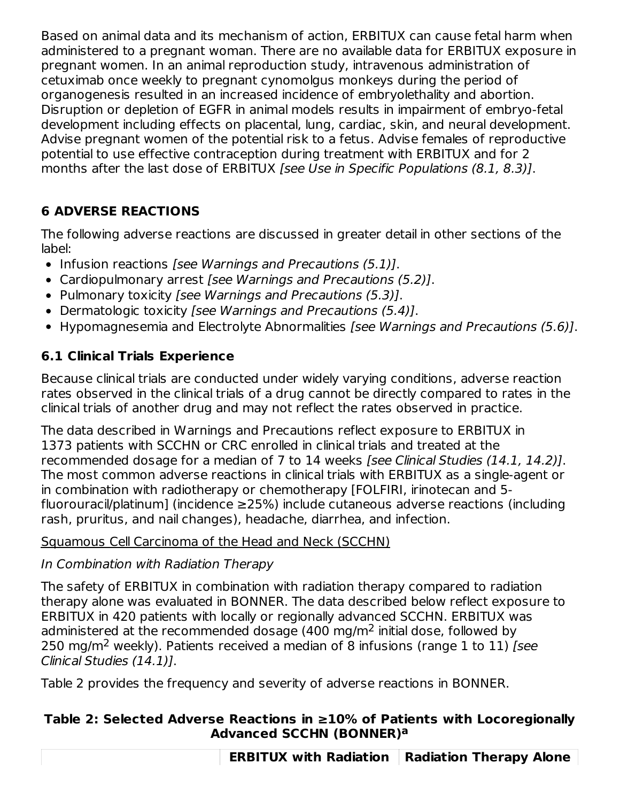Based on animal data and its mechanism of action, ERBITUX can cause fetal harm when administered to a pregnant woman. There are no available data for ERBITUX exposure in pregnant women. In an animal reproduction study, intravenous administration of cetuximab once weekly to pregnant cynomolgus monkeys during the period of organogenesis resulted in an increased incidence of embryolethality and abortion. Disruption or depletion of EGFR in animal models results in impairment of embryo-fetal development including effects on placental, lung, cardiac, skin, and neural development. Advise pregnant women of the potential risk to a fetus. Advise females of reproductive potential to use effective contraception during treatment with ERBITUX and for 2 months after the last dose of ERBITUX [see Use in Specific Populations (8.1, 8.3)].

# **6 ADVERSE REACTIONS**

The following adverse reactions are discussed in greater detail in other sections of the label:

- Infusion reactions [see Warnings and Precautions (5.1)].
- Cardiopulmonary arrest [see Warnings and Precautions (5.2)].
- Pulmonary toxicity [see Warnings and Precautions (5.3)].
- Dermatologic toxicity [see Warnings and Precautions (5.4)].
- Hypomagnesemia and Electrolyte Abnormalities [see Warnings and Precautions (5.6)].

# **6.1 Clinical Trials Experience**

Because clinical trials are conducted under widely varying conditions, adverse reaction rates observed in the clinical trials of a drug cannot be directly compared to rates in the clinical trials of another drug and may not reflect the rates observed in practice.

The data described in Warnings and Precautions reflect exposure to ERBITUX in 1373 patients with SCCHN or CRC enrolled in clinical trials and treated at the recommended dosage for a median of 7 to 14 weeks [see Clinical Studies (14.1, 14.2)]. The most common adverse reactions in clinical trials with ERBITUX as a single-agent or in combination with radiotherapy or chemotherapy [FOLFIRI, irinotecan and 5 fluorouracil/platinum] (incidence ≥25%) include cutaneous adverse reactions (including rash, pruritus, and nail changes), headache, diarrhea, and infection.

# Squamous Cell Carcinoma of the Head and Neck (SCCHN)

# In Combination with Radiation Therapy

The safety of ERBITUX in combination with radiation therapy compared to radiation therapy alone was evaluated in BONNER. The data described below reflect exposure to ERBITUX in 420 patients with locally or regionally advanced SCCHN. ERBITUX was administered at the recommended dosage (400 mg/m<sup>2</sup> initial dose, followed by 250 mg/m<sup>2</sup> weekly). Patients received a median of 8 infusions (range 1 to 11) [see Clinical Studies (14.1)].

Table 2 provides the frequency and severity of adverse reactions in BONNER.

### **Table 2: Selected Adverse Reactions in ≥10% of Patients with Locoregionally Advanced SCCHN (BONNER) a**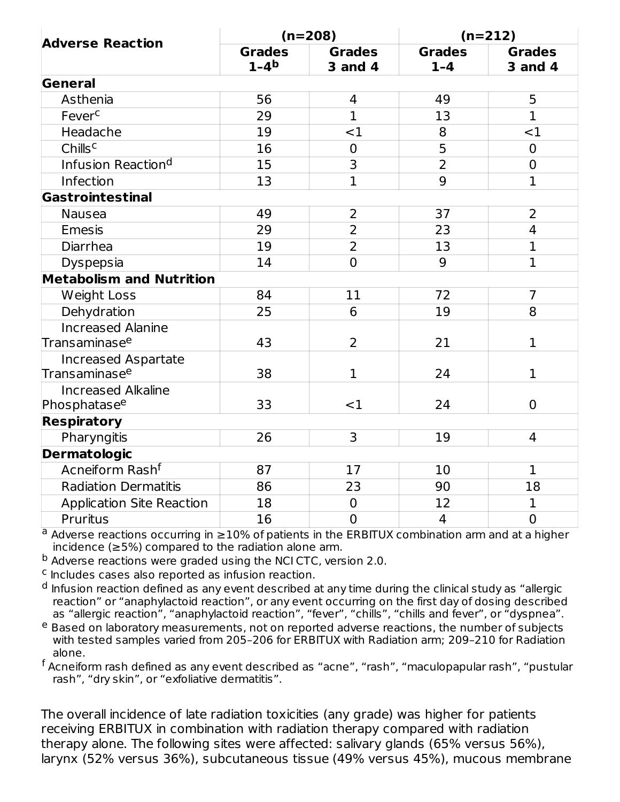| <b>Adverse Reaction</b>                               | $(n=208)$               |                                 | $(n=212)$                |                                 |
|-------------------------------------------------------|-------------------------|---------------------------------|--------------------------|---------------------------------|
|                                                       | <b>Grades</b><br>$1-4b$ | <b>Grades</b><br><b>3 and 4</b> | <b>Grades</b><br>$1 - 4$ | <b>Grades</b><br><b>3 and 4</b> |
| General                                               |                         |                                 |                          |                                 |
| Asthenia                                              | 56                      | $\overline{4}$                  | 49                       | 5                               |
| Fever <sup>c</sup>                                    | 29                      | $\mathbf{1}$                    | 13                       | $\mathbf{1}$                    |
| Headache                                              | 19                      | $<$ 1                           | 8                        | <1                              |
| Chills <sup>c</sup>                                   | 16                      | $\mathbf 0$                     | 5                        | $\overline{0}$                  |
| Infusion Reaction <sup>d</sup>                        | 15                      | 3                               | $\overline{2}$           | $\overline{0}$                  |
| Infection                                             | 13                      | $\overline{1}$                  | 9                        | $\mathbf 1$                     |
| Gastrointestinal                                      |                         |                                 |                          |                                 |
| <b>Nausea</b>                                         | 49                      | 2                               | 37                       | $\overline{2}$                  |
| <b>Emesis</b>                                         | 29                      | $\overline{2}$                  | 23                       | $\overline{4}$                  |
| Diarrhea                                              | 19                      | $\overline{2}$                  | 13                       | $\mathbf{1}$                    |
| Dyspepsia                                             | 14                      | $\overline{0}$                  | 9                        | $\mathbf{1}$                    |
| <b>Metabolism and Nutrition</b>                       |                         |                                 |                          |                                 |
| <b>Weight Loss</b>                                    | 84                      | 11                              | 72                       | $\overline{7}$                  |
| Dehydration                                           | 25                      | 6                               | 19                       | 8                               |
| <b>Increased Alanine</b><br>Transaminase <sup>e</sup> | 43                      | 2                               | 21                       | $\mathbf 1$                     |
| <b>Increased Aspartate</b>                            |                         |                                 |                          |                                 |
| Transaminase <sup>e</sup>                             | 38                      | $\mathbf{1}$                    | 24                       | $\mathbf 1$                     |
| <b>Increased Alkaline</b><br>Phosphatase <sup>e</sup> | 33                      | $<$ 1                           | 24                       | $\overline{0}$                  |
| <b>Respiratory</b>                                    |                         |                                 |                          |                                 |
| Pharyngitis                                           | 26                      | 3                               | 19                       | 4                               |
| <b>Dermatologic</b>                                   |                         |                                 |                          |                                 |
| Acneiform Rash <sup>f</sup>                           | 87                      | 17                              | 10                       | $\mathbf{1}$                    |
| <b>Radiation Dermatitis</b>                           | 86                      | 23                              | 90                       | 18                              |
| <b>Application Site Reaction</b>                      | 18                      | $\mathbf 0$                     | 12                       | $\mathbf 1$                     |
| <b>Pruritus</b>                                       | 16                      | $\overline{0}$                  | $\overline{4}$           | $\overline{0}$                  |

 $a$  Adverse reactions occurring in  $\geq$ 10% of patients in the ERBITUX combination arm and at a higher incidence (≥5%) compared to the radiation alone arm.

<sup>b</sup> Adverse reactions were graded using the NCI CTC, version 2.0.

 $c$  Includes cases also reported as infusion reaction.

Infusion reaction defined as any event described at any time during the clinical study as "allergic reaction" or "anaphylactoid reaction", or any event occurring on the first day of dosing described as "allergic reaction", "anaphylactoid reaction", "fever", "chills", "chills and fever", or "dyspnea". d

<sup>e</sup> Based on laboratory measurements, not on reported adverse reactions, the number of subjects with tested samples varied from 205–206 for ERBITUX with Radiation arm; 209–210 for Radiation alone.

 $^{\mathsf{f}}$  Acneiform rash defined as any event described as "acne", "rash", "maculopapular rash", "pustular rash", "dry skin", or "exfoliative dermatitis".

The overall incidence of late radiation toxicities (any grade) was higher for patients receiving ERBITUX in combination with radiation therapy compared with radiation therapy alone. The following sites were affected: salivary glands (65% versus 56%), larynx (52% versus 36%), subcutaneous tissue (49% versus 45%), mucous membrane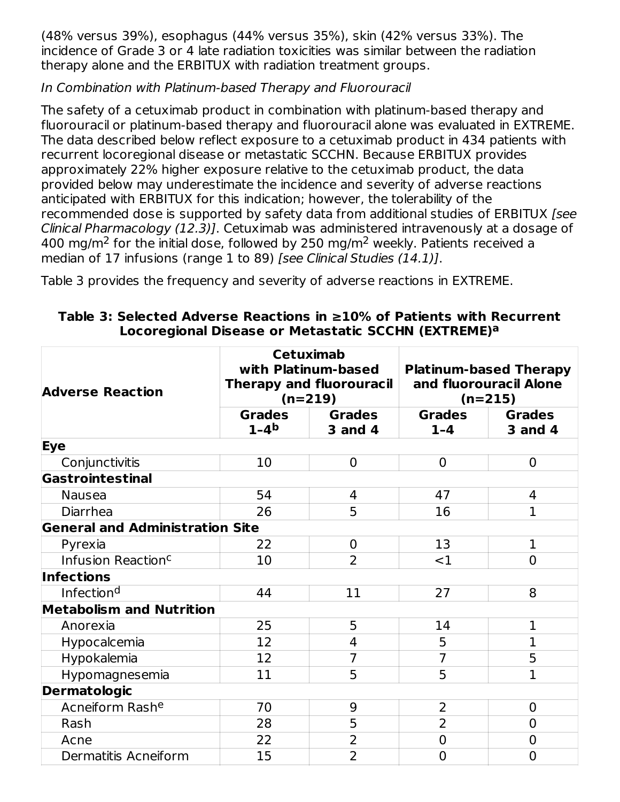(48% versus 39%), esophagus (44% versus 35%), skin (42% versus 33%). The incidence of Grade 3 or 4 late radiation toxicities was similar between the radiation therapy alone and the ERBITUX with radiation treatment groups.

### In Combination with Platinum-based Therapy and Fluorouracil

The safety of a cetuximab product in combination with platinum-based therapy and fluorouracil or platinum-based therapy and fluorouracil alone was evaluated in EXTREME. The data described below reflect exposure to a cetuximab product in 434 patients with recurrent locoregional disease or metastatic SCCHN. Because ERBITUX provides approximately 22% higher exposure relative to the cetuximab product, the data provided below may underestimate the incidence and severity of adverse reactions anticipated with ERBITUX for this indication; however, the tolerability of the recommended dose is supported by safety data from additional studies of ERBITUX [see Clinical Pharmacology (12.3)]. Cetuximab was administered intravenously at a dosage of 400 mg/m<sup>2</sup> for the initial dose, followed by 250 mg/m<sup>2</sup> weekly. Patients received a median of 17 infusions (range 1 to 89) [see Clinical Studies (14.1)].

Table 3 provides the frequency and severity of adverse reactions in EXTREME.

| <b>Adverse Reaction</b>                | <b>Cetuximab</b><br>with Platinum-based<br><b>Therapy and fluorouracil</b><br>$(n=219)$ |                                 | <b>Platinum-based Therapy</b><br>and fluorouracil Alone<br>$(n=215)$ |                                 |
|----------------------------------------|-----------------------------------------------------------------------------------------|---------------------------------|----------------------------------------------------------------------|---------------------------------|
|                                        | <b>Grades</b><br>$1 - 4b$                                                               | <b>Grades</b><br><b>3 and 4</b> | <b>Grades</b><br>$1 - 4$                                             | <b>Grades</b><br><b>3 and 4</b> |
| Eye                                    |                                                                                         |                                 |                                                                      |                                 |
| Conjunctivitis                         | 10                                                                                      | $\overline{0}$                  | $\mathbf 0$                                                          | $\mathbf 0$                     |
| Gastrointestinal                       |                                                                                         |                                 |                                                                      |                                 |
| Nausea                                 | 54                                                                                      | 4                               | 47                                                                   | 4                               |
| Diarrhea                               | 26                                                                                      | 5                               | 16                                                                   | $\mathbf{1}$                    |
| <b>General and Administration Site</b> |                                                                                         |                                 |                                                                      |                                 |
| Pyrexia                                | 22                                                                                      | $\overline{0}$                  | 13                                                                   | $\mathbf 1$                     |
| Infusion Reaction <sup>c</sup>         | 10                                                                                      | $\overline{2}$                  | $<$ 1                                                                | $\overline{0}$                  |
| <b>Infections</b>                      |                                                                                         |                                 |                                                                      |                                 |
| Infection <sup>d</sup>                 | 44                                                                                      | 11                              | 27                                                                   | 8                               |
| <b>Metabolism and Nutrition</b>        |                                                                                         |                                 |                                                                      |                                 |
| Anorexia                               | 25                                                                                      | 5                               | 14                                                                   | $\mathbf{1}$                    |
| Hypocalcemia                           | 12                                                                                      | 4                               | 5                                                                    | 1                               |
| Hypokalemia                            | 12                                                                                      | 7                               | $\overline{7}$                                                       | 5                               |
| Hypomagnesemia                         | 11                                                                                      | 5                               | 5                                                                    | $\overline{1}$                  |
| <b>Dermatologic</b>                    |                                                                                         |                                 |                                                                      |                                 |
| Acneiform Rashe                        | 70                                                                                      | 9                               | $\overline{2}$                                                       | $\overline{0}$                  |
| Rash                                   | 28                                                                                      | 5                               | $\overline{2}$                                                       | $\overline{0}$                  |
| Acne                                   | 22                                                                                      | 2                               | $\mathbf 0$                                                          | $\overline{0}$                  |
| Dermatitis Acneiform                   | 15                                                                                      | $\overline{2}$                  | $\overline{0}$                                                       | $\overline{0}$                  |

**Table 3: Selected Adverse Reactions in ≥10% of Patients with Recurrent Locoregional Disease or Metastatic SCCHN (EXTREME) a**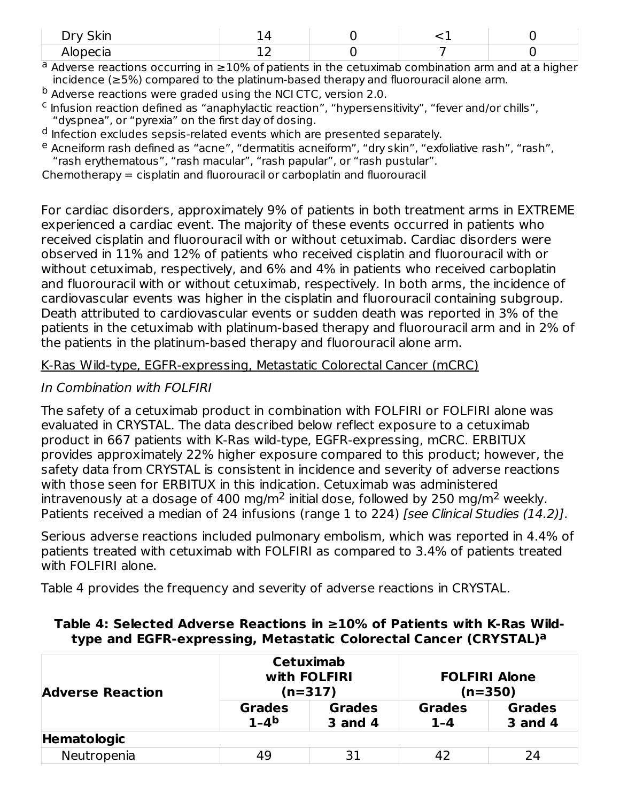| $D_{m}$ , $C_{l}$<br>$- - -$<br><u>.</u><br>₩. |    |  |  |
|------------------------------------------------|----|--|--|
| Alopecia                                       | -- |  |  |

 $a$  Adverse reactions occurring in  $\geq$ 10% of patients in the cetuximab combination arm and at a higher incidence (≥5%) compared to the platinum-based therapy and fluorouracil alone arm.

<sup>b</sup> Adverse reactions were graded using the NCI CTC, version 2.0.

<sup>c</sup> Infusion reaction defined as "anaphylactic reaction", "hypersensitivity", "fever and/or chills", "dyspnea", or "pyrexia" on the first day of dosing.

<sup>d</sup> Infection excludes sepsis-related events which are presented separately.

<sup>e</sup> Acneiform rash defined as "acne", "dermatitis acneiform", "dry skin", "exfoliative rash", "rash", "rash erythematous", "rash macular", "rash papular", or "rash pustular".

Chemotherapy = cisplatin and fluorouracil or carboplatin and fluorouracil

For cardiac disorders, approximately 9% of patients in both treatment arms in EXTREME experienced a cardiac event. The majority of these events occurred in patients who received cisplatin and fluorouracil with or without cetuximab. Cardiac disorders were observed in 11% and 12% of patients who received cisplatin and fluorouracil with or without cetuximab, respectively, and 6% and 4% in patients who received carboplatin and fluorouracil with or without cetuximab, respectively. In both arms, the incidence of cardiovascular events was higher in the cisplatin and fluorouracil containing subgroup. Death attributed to cardiovascular events or sudden death was reported in 3% of the patients in the cetuximab with platinum-based therapy and fluorouracil arm and in 2% of the patients in the platinum-based therapy and fluorouracil alone arm.

#### K-Ras Wild-type, EGFR-expressing, Metastatic Colorectal Cancer (mCRC)

#### In Combination with FOLFIRI

The safety of a cetuximab product in combination with FOLFIRI or FOLFIRI alone was evaluated in CRYSTAL. The data described below reflect exposure to a cetuximab product in 667 patients with K-Ras wild-type, EGFR-expressing, mCRC. ERBITUX provides approximately 22% higher exposure compared to this product; however, the safety data from CRYSTAL is consistent in incidence and severity of adverse reactions with those seen for ERBITUX in this indication. Cetuximab was administered intravenously at a dosage of 400 mg/m<sup>2</sup> initial dose, followed by 250 mg/m<sup>2</sup> weekly. Patients received a median of 24 infusions (range 1 to 224) [see Clinical Studies (14.2)].

Serious adverse reactions included pulmonary embolism, which was reported in 4.4% of patients treated with cetuximab with FOLFIRI as compared to 3.4% of patients treated with FOLFIRI alone.

Table 4 provides the frequency and severity of adverse reactions in CRYSTAL.

| <b>Adverse Reaction</b> |                         | <b>Cetuximab</b><br>with FOLFIRI<br><b>FOLFIRI Alone</b><br>$(n=317)$<br>$(n=350)$ |                          |                                 |
|-------------------------|-------------------------|------------------------------------------------------------------------------------|--------------------------|---------------------------------|
|                         | <b>Grades</b><br>$1-4b$ | <b>Grades</b><br>3 and 4                                                           | <b>Grades</b><br>$1 - 4$ | <b>Grades</b><br><b>3 and 4</b> |
| <b>Hematologic</b>      |                         |                                                                                    |                          |                                 |
| Neutropenia             | 49                      | 31                                                                                 | 42                       | 24                              |

#### **Table 4: Selected Adverse Reactions in ≥10% of Patients with K-Ras Wildtype and EGFR-expressing, Metastatic Colorectal Cancer (CRYSTAL) a**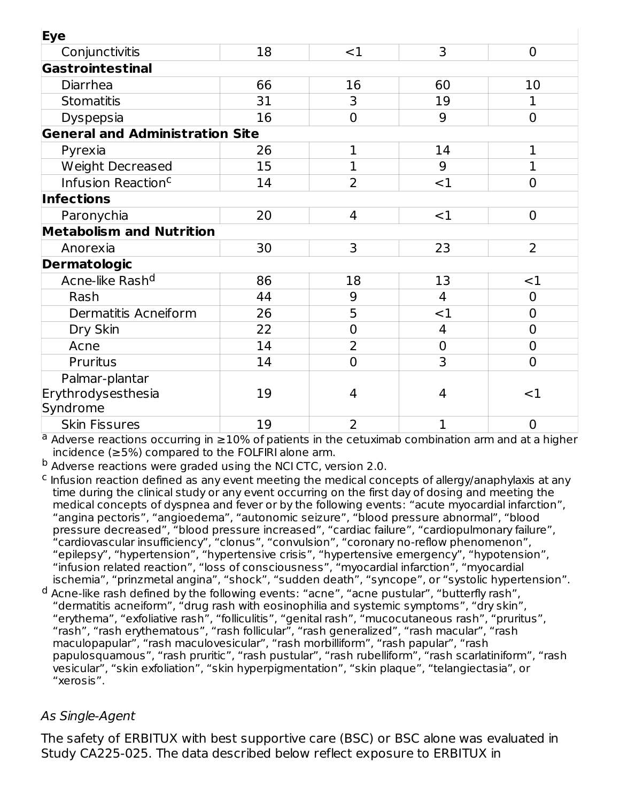| Eye                                    |    |                |                |                |
|----------------------------------------|----|----------------|----------------|----------------|
| Conjunctivitis                         | 18 | $<$ 1          | 3              | $\mathbf 0$    |
| Gastrointestinal                       |    |                |                |                |
| Diarrhea                               | 66 | 16             | 60             | 10             |
| <b>Stomatitis</b>                      | 31 | 3              | 19             | 1              |
| Dyspepsia                              | 16 | $\overline{0}$ | 9              | $\overline{0}$ |
| <b>General and Administration Site</b> |    |                |                |                |
| Pyrexia                                | 26 | 1              | 14             | $\mathbf 1$    |
| Weight Decreased                       | 15 | 1              | 9              | 1              |
| Infusion Reaction <sup>c</sup>         | 14 | $\overline{2}$ | <1             | $\overline{0}$ |
| Infections                             |    |                |                |                |
| Paronychia                             | 20 | $\overline{4}$ | <1             | $\mathbf 0$    |
| <b>Metabolism and Nutrition</b>        |    |                |                |                |
| Anorexia                               | 30 | 3              | 23             | $\overline{2}$ |
| <b>Dermatologic</b>                    |    |                |                |                |
| Acne-like Rash <sup>d</sup>            | 86 | 18             | 13             | $<$ 1          |
| Rash                                   | 44 | 9              | 4              | $\overline{0}$ |
| Dermatitis Acneiform                   | 26 | 5              | $<$ 1          | $\overline{0}$ |
| Dry Skin                               | 22 | $\overline{0}$ | $\overline{4}$ | $\overline{0}$ |
| Acne                                   | 14 | 2              | $\mathbf 0$    | $\overline{0}$ |
| Pruritus                               | 14 | $\overline{0}$ | 3              | $\overline{0}$ |
| Palmar-plantar                         |    |                |                |                |
| Erythrodysesthesia                     | 19 | 4              | 4              | $<$ 1          |
| Syndrome                               |    |                |                |                |
| <b>Skin Fissures</b>                   | 19 | $\overline{2}$ | 1              | $\overline{0}$ |

 $a$  Adverse reactions occurring in  $\geq$ 10% of patients in the cetuximab combination arm and at a higher incidence (≥5%) compared to the FOLFIRI alone arm.

<sup>b</sup> Adverse reactions were graded using the NCI CTC, version 2.0.

- $\epsilon$  Infusion reaction defined as any event meeting the medical concepts of allergy/anaphylaxis at any time during the clinical study or any event occurring on the first day of dosing and meeting the medical concepts of dyspnea and fever or by the following events: "acute myocardial infarction", "angina pectoris", "angioedema", "autonomic seizure", "blood pressure abnormal", "blood pressure decreased", "blood pressure increased", "cardiac failure", "cardiopulmonary failure", "cardiovascular insufficiency", "clonus", "convulsion", "coronary no-reflow phenomenon", "epilepsy", "hypertension", "hypertensive crisis", "hypertensive emergency", "hypotension", "infusion related reaction", "loss of consciousness", "myocardial infarction", "myocardial ischemia", "prinzmetal angina", "shock", "sudden death", "syncope", or "systolic hypertension".
- <sup>d</sup> Acne-like rash defined by the following events: "acne", "acne pustular", "butterfly rash", "dermatitis acneiform", "drug rash with eosinophilia and systemic symptoms", "dry skin", "erythema", "exfoliative rash", "folliculitis", "genital rash", "mucocutaneous rash", "pruritus", "rash", "rash erythematous", "rash follicular", "rash generalized", "rash macular", "rash maculopapular", "rash maculovesicular", "rash morbilliform", "rash papular", "rash papulosquamous", "rash pruritic", "rash pustular", "rash rubelliform", "rash scarlatiniform", "rash vesicular", "skin exfoliation", "skin hyperpigmentation", "skin plaque", "telangiectasia", or "xerosis".

#### As Single-Agent

The safety of ERBITUX with best supportive care (BSC) or BSC alone was evaluated in Study CA225-025. The data described below reflect exposure to ERBITUX in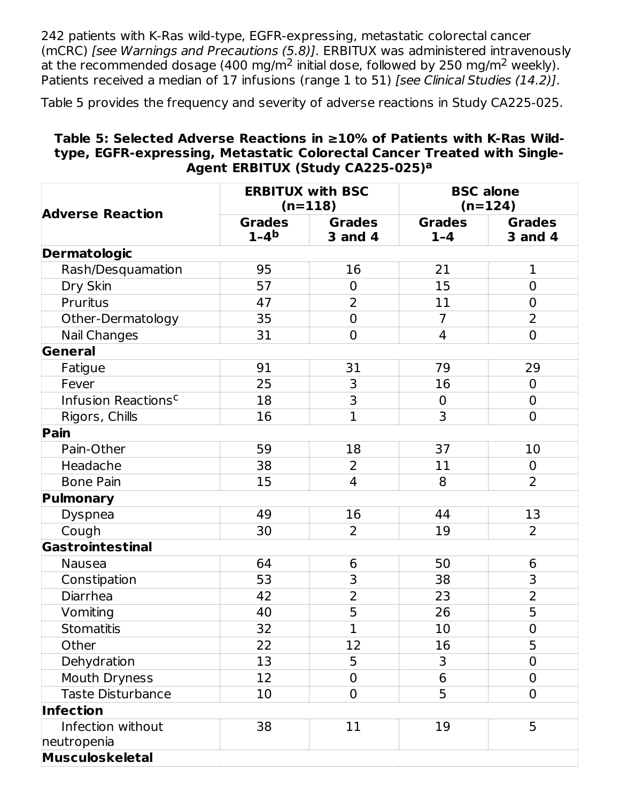242 patients with K-Ras wild-type, EGFR-expressing, metastatic colorectal cancer (mCRC) [see Warnings and Precautions (5.8)]. ERBITUX was administered intravenously at the recommended dosage (400 mg/m<sup>2</sup> initial dose, followed by 250 mg/m<sup>2</sup> weekly). Patients received a median of 17 infusions (range 1 to 51) [see Clinical Studies (14.2)].

Table 5 provides the frequency and severity of adverse reactions in Study CA225-025.

#### **Table 5: Selected Adverse Reactions in ≥10% of Patients with K-Ras Wildtype, EGFR-expressing, Metastatic Colorectal Cancer Treated with Single-Agent ERBITUX (Study CA225-025) a**

| <b>Adverse Reaction</b>                             | <b>ERBITUX with BSC</b>   | $(n=118)$                       | <b>BSC</b> alone         | $(n=124)$                       |
|-----------------------------------------------------|---------------------------|---------------------------------|--------------------------|---------------------------------|
|                                                     | <b>Grades</b><br>$1 - 4b$ | <b>Grades</b><br><b>3 and 4</b> | <b>Grades</b><br>$1 - 4$ | <b>Grades</b><br><b>3 and 4</b> |
| <b>Dermatologic</b>                                 |                           |                                 |                          |                                 |
| Rash/Desquamation                                   | 95                        | 16                              | 21                       | $\mathbf 1$                     |
| Dry Skin                                            | 57                        | $\mathbf 0$                     | 15                       | $\overline{0}$                  |
| Pruritus                                            | 47                        | $\overline{2}$                  | 11                       | $\mathbf 0$                     |
| Other-Dermatology                                   | 35                        | $\mathbf 0$                     | $\overline{7}$           | $\overline{2}$                  |
| <b>Nail Changes</b>                                 | 31                        | $\mathbf 0$                     | $\overline{4}$           | $\overline{0}$                  |
| General                                             |                           |                                 |                          |                                 |
| Fatigue                                             | 91                        | 31                              | 79                       | 29                              |
| Fever                                               | 25                        | 3                               | 16                       | $\mathbf 0$                     |
| Infusion Reactions <sup>c</sup>                     | 18                        | 3                               | $\mathbf 0$              | $\mathbf 0$                     |
| Rigors, Chills                                      | 16                        | $\overline{1}$                  | 3                        | $\mathbf 0$                     |
| Pain                                                |                           |                                 |                          |                                 |
| Pain-Other                                          | 59                        | 18                              | 37                       | 10                              |
| Headache                                            | 38                        | $\overline{2}$                  | 11                       | $\mathbf 0$                     |
| <b>Bone Pain</b>                                    | 15                        | 4                               | 8                        | $\overline{2}$                  |
| Pulmonary                                           |                           |                                 |                          |                                 |
| <b>Dyspnea</b>                                      | 49                        | 16                              | 44                       | 13                              |
| Cough                                               | 30                        | $\overline{2}$                  | 19                       | $\overline{2}$                  |
| Gastrointestinal                                    |                           |                                 |                          |                                 |
| <b>Nausea</b>                                       | 64                        | 6                               | 50                       | 6                               |
| Constipation                                        | 53                        | 3                               | 38                       | 3                               |
| Diarrhea                                            | 42                        | $\overline{2}$                  | 23                       | $\overline{2}$                  |
| Vomiting                                            | 40                        | 5                               | 26                       | 5                               |
| <b>Stomatitis</b>                                   | 32                        | $\mathbf 1$                     | 10                       | $\overline{0}$                  |
| Other                                               | 22                        | 12                              | 16                       | 5                               |
| Dehydration                                         | 13                        | 5                               | 3                        | $\mathbf 0$                     |
| Mouth Dryness                                       | 12                        | $\mathbf 0$                     | 6                        | $\overline{0}$                  |
| <b>Taste Disturbance</b>                            | 10                        | $\overline{0}$                  | 5                        | $\overline{0}$                  |
| <b>Infection</b>                                    |                           |                                 |                          |                                 |
| Infection without<br>neutropenia<br>Musculoskeletal | 38                        | 11                              | 19                       | 5                               |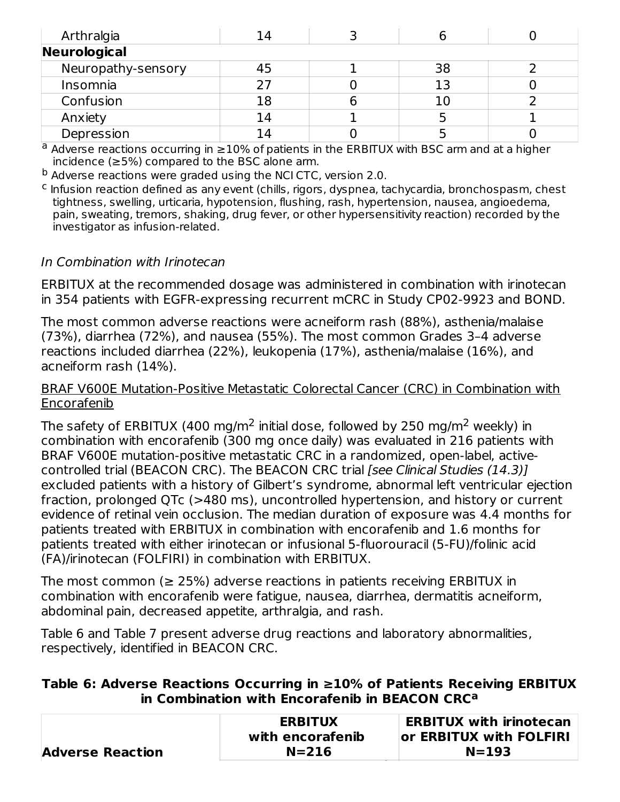| Arthralgia         | 14 |    |  |
|--------------------|----|----|--|
| Neurological       |    |    |  |
| Neuropathy-sensory |    | 38 |  |
| Insomnia           |    | 13 |  |
| Confusion          | 18 | 10 |  |
| Anxiety            | 14 |    |  |
| Depression         |    |    |  |

 $a$  Adverse reactions occurring in  $\geq$ 10% of patients in the ERBITUX with BSC arm and at a higher incidence (≥5%) compared to the BSC alone arm.

<sup>b</sup> Adverse reactions were graded using the NCI CTC, version 2.0.

<sup>c</sup> Infusion reaction defined as any event (chills, rigors, dyspnea, tachycardia, bronchospasm, chest tightness, swelling, urticaria, hypotension, flushing, rash, hypertension, nausea, angioedema, pain, sweating, tremors, shaking, drug fever, or other hypersensitivity reaction) recorded by the investigator as infusion-related.

#### In Combination with Irinotecan

ERBITUX at the recommended dosage was administered in combination with irinotecan in 354 patients with EGFR-expressing recurrent mCRC in Study CP02-9923 and BOND.

The most common adverse reactions were acneiform rash (88%), asthenia/malaise (73%), diarrhea (72%), and nausea (55%). The most common Grades 3–4 adverse reactions included diarrhea (22%), leukopenia (17%), asthenia/malaise (16%), and acneiform rash (14%).

#### BRAF V600E Mutation-Positive Metastatic Colorectal Cancer (CRC) in Combination with Encorafenib

The safety of ERBITUX (400 mg/m<sup>2</sup> initial dose, followed by 250 mg/m<sup>2</sup> weekly) in combination with encorafenib (300 mg once daily) was evaluated in 216 patients with BRAF V600E mutation-positive metastatic CRC in a randomized, open-label, activecontrolled trial (BEACON CRC). The BEACON CRC trial [see Clinical Studies (14.3)] excluded patients with a history of Gilbert's syndrome, abnormal left ventricular ejection fraction, prolonged QTc (>480 ms), uncontrolled hypertension, and history or current evidence of retinal vein occlusion. The median duration of exposure was 4.4 months for patients treated with ERBITUX in combination with encorafenib and 1.6 months for patients treated with either irinotecan or infusional 5-fluorouracil (5-FU)/folinic acid (FA)/irinotecan (FOLFIRI) in combination with ERBITUX.

The most common ( $\geq$  25%) adverse reactions in patients receiving ERBITUX in combination with encorafenib were fatigue, nausea, diarrhea, dermatitis acneiform, abdominal pain, decreased appetite, arthralgia, and rash.

Table 6 and Table 7 present adverse drug reactions and laboratory abnormalities, respectively, identified in BEACON CRC.

#### **Table 6: Adverse Reactions Occurring in ≥10% of Patients Receiving ERBITUX in Combination with Encorafenib in BEACON CRC a**

|                         | <b>ERBITUX</b>   | <b>ERBITUX with irinotecan</b> |
|-------------------------|------------------|--------------------------------|
|                         | with encorafenib | or ERBITUX with FOLFIRI        |
| <b>Adverse Reaction</b> | $N = 216$        | $N = 193$                      |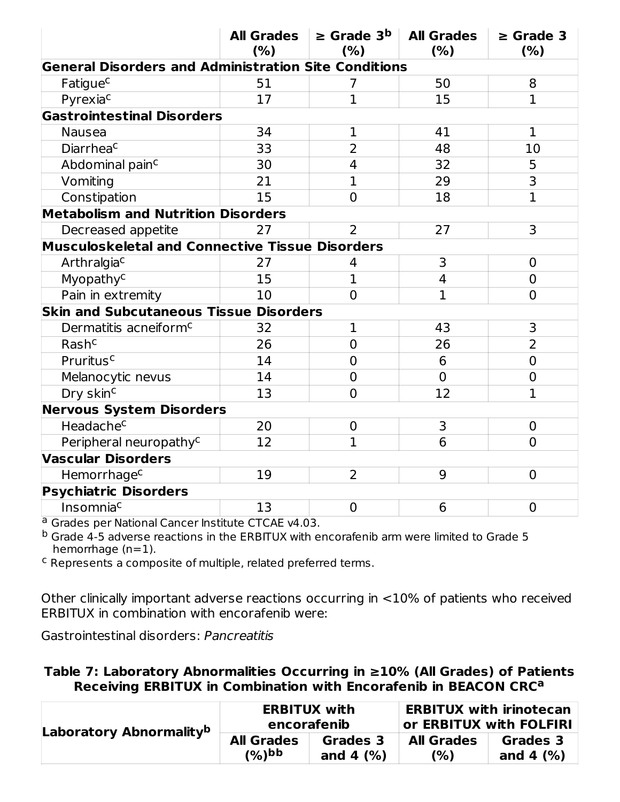|                                                             | <b>All Grades</b><br>(% ) | $\ge$ Grade 3 <sup>b</sup><br>(% ) | <b>All Grades</b><br>(% ) | $\ge$ Grade 3<br>(%) |
|-------------------------------------------------------------|---------------------------|------------------------------------|---------------------------|----------------------|
| <b>General Disorders and Administration Site Conditions</b> |                           |                                    |                           |                      |
| Fatigue <sup>c</sup>                                        | 51                        | 7                                  | 50                        | 8                    |
| Pyrexiac                                                    | 17                        | $\mathbf{1}$                       | 15                        | $\mathbf{1}$         |
| <b>Gastrointestinal Disorders</b>                           |                           |                                    |                           |                      |
| <b>Nausea</b>                                               | 34                        | $\mathbf 1$                        | 41                        | $\mathbf 1$          |
| Diarrheac                                                   | 33                        | $\overline{2}$                     | 48                        | 10                   |
| Abdominal pain <sup>c</sup>                                 | 30                        | 4                                  | 32                        | 5                    |
| Vomiting                                                    | 21                        | $\mathbf{1}$                       | 29                        | $\overline{3}$       |
| Constipation                                                | 15                        | $\overline{0}$                     | 18                        | $\overline{1}$       |
| <b>Metabolism and Nutrition Disorders</b>                   |                           |                                    |                           |                      |
| Decreased appetite                                          | 27                        | $\mathcal{P}$                      | 27                        | 3                    |
| <b>Musculoskeletal and Connective Tissue Disorders</b>      |                           |                                    |                           |                      |
| Arthralgiac                                                 | 27                        | 4                                  | 3                         | $\mathbf 0$          |
| Myopathy <sup>c</sup>                                       | 15                        | $\overline{1}$                     | $\overline{4}$            | $\overline{0}$       |
| Pain in extremity                                           | 10                        | $\overline{0}$                     | $\overline{1}$            | $\overline{0}$       |
| <b>Skin and Subcutaneous Tissue Disorders</b>               |                           |                                    |                           |                      |
| Dermatitis acneiform <sup>c</sup>                           | 32                        | $\mathbf 1$                        | 43                        | 3                    |
| Rash <sup>c</sup>                                           | 26                        | $\overline{0}$                     | 26                        | $\overline{2}$       |
| Pruritus <sup>c</sup>                                       | 14                        | $\overline{0}$                     | 6                         | $\overline{0}$       |
| Melanocytic nevus                                           | 14                        | $\overline{0}$                     | $\overline{0}$            | $\overline{0}$       |
| Dry skin <sup>c</sup>                                       | 13                        | $\overline{0}$                     | 12                        | $\overline{1}$       |
| <b>Nervous System Disorders</b>                             |                           |                                    |                           |                      |
| Headache <sup>c</sup>                                       | 20                        | $\mathbf 0$                        | 3                         | $\overline{0}$       |
| Peripheral neuropathy <sup>c</sup>                          | 12                        | $\mathbf{1}$                       | 6                         | $\overline{0}$       |
| <b>Vascular Disorders</b>                                   |                           |                                    |                           |                      |
| Hemorrhage <sup>c</sup>                                     | 19                        | $\overline{2}$                     | 9                         | $\overline{0}$       |
| <b>Psychiatric Disorders</b>                                |                           |                                    |                           |                      |
| Insomniac                                                   | 13                        | $\overline{0}$                     | 6                         | $\overline{0}$       |

Grades per National Cancer Institute CTCAE v4.03. a

Grade 4-5 adverse reactions in the ERBITUX with encorafenib arm were limited to Grade 5 hemorrhage (n=1). b

<sup>c</sup> Represents a composite of multiple, related preferred terms.

Other clinically important adverse reactions occurring in <10% of patients who received ERBITUX in combination with encorafenib were:

Gastrointestinal disorders: Pancreatitis

#### **Table 7: Laboratory Abnormalities Occurring in ≥10% (All Grades) of Patients Receiving ERBITUX in Combination with Encorafenib in BEACON CRC a**

| Laboratory Abnormality <sup>b</sup> |                   | <b>ERBITUX with</b><br>encorafenib | <b>ERBITUX with irinotecan</b><br>$^{\shortmid}$ or ERBITUX with FOLFIRI |              |  |
|-------------------------------------|-------------------|------------------------------------|--------------------------------------------------------------------------|--------------|--|
|                                     | <b>All Grades</b> | Grades 3                           | <b>All Grades</b>                                                        | Grades 3     |  |
|                                     | $(%)$ bb          | and 4 $(%)$                        | (%)                                                                      | and 4 $(% )$ |  |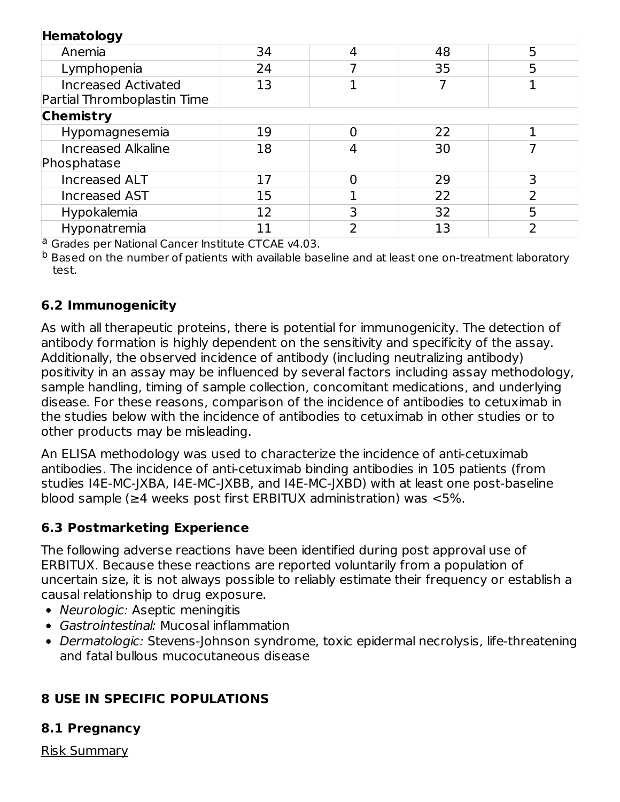| Hematology                                                |    |   |    |   |  |  |
|-----------------------------------------------------------|----|---|----|---|--|--|
| Anemia                                                    | 34 | 4 | 48 | 5 |  |  |
| Lymphopenia                                               | 24 |   | 35 | 5 |  |  |
| <b>Increased Activated</b><br>Partial Thromboplastin Time | 13 |   |    |   |  |  |
| <b>Chemistry</b>                                          |    |   |    |   |  |  |
| Hypomagnesemia                                            | 19 |   | 22 |   |  |  |
| <b>Increased Alkaline</b><br>Phosphatase                  | 18 |   | 30 |   |  |  |
| Increased ALT                                             | 17 | O | 29 | 3 |  |  |
| <b>Increased AST</b>                                      | 15 |   | 22 |   |  |  |
| Hypokalemia                                               | 12 | 3 | 32 | 5 |  |  |
| Hyponatremia                                              |    | า | 13 | ำ |  |  |

<sup>a</sup> Grades per National Cancer Institute CTCAE v4.03.

 $^{\rm b}$  Based on the number of patients with available baseline and at least one on-treatment laboratory test.

### **6.2 Immunogenicity**

As with all therapeutic proteins, there is potential for immunogenicity. The detection of antibody formation is highly dependent on the sensitivity and specificity of the assay. Additionally, the observed incidence of antibody (including neutralizing antibody) positivity in an assay may be influenced by several factors including assay methodology, sample handling, timing of sample collection, concomitant medications, and underlying disease. For these reasons, comparison of the incidence of antibodies to cetuximab in the studies below with the incidence of antibodies to cetuximab in other studies or to other products may be misleading.

An ELISA methodology was used to characterize the incidence of anti-cetuximab antibodies. The incidence of anti-cetuximab binding antibodies in 105 patients (from studies I4E-MC-JXBA, I4E-MC-JXBB, and I4E-MC-JXBD) with at least one post-baseline blood sample (≥4 weeks post first ERBITUX administration) was <5%.

### **6.3 Postmarketing Experience**

The following adverse reactions have been identified during post approval use of ERBITUX. Because these reactions are reported voluntarily from a population of uncertain size, it is not always possible to reliably estimate their frequency or establish a causal relationship to drug exposure.

- Neurologic: Aseptic meningitis
- Gastrointestinal: Mucosal inflammation
- Dermatologic: Stevens-Johnson syndrome, toxic epidermal necrolysis, life-threatening and fatal bullous mucocutaneous disease

# **8 USE IN SPECIFIC POPULATIONS**

### **8.1 Pregnancy**

Risk Summary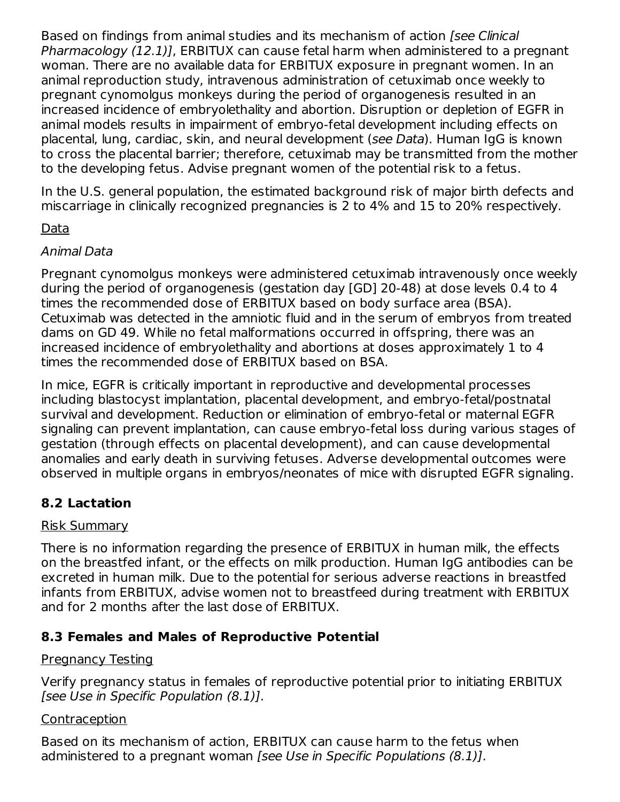Based on findings from animal studies and its mechanism of action [see Clinical Pharmacology (12.1)], ERBITUX can cause fetal harm when administered to a pregnant woman. There are no available data for ERBITUX exposure in pregnant women. In an animal reproduction study, intravenous administration of cetuximab once weekly to pregnant cynomolgus monkeys during the period of organogenesis resulted in an increased incidence of embryolethality and abortion. Disruption or depletion of EGFR in animal models results in impairment of embryo-fetal development including effects on placental, lung, cardiac, skin, and neural development (see Data). Human IgG is known to cross the placental barrier; therefore, cetuximab may be transmitted from the mother to the developing fetus. Advise pregnant women of the potential risk to a fetus.

In the U.S. general population, the estimated background risk of major birth defects and miscarriage in clinically recognized pregnancies is 2 to 4% and 15 to 20% respectively.

### Data

#### Animal Data

Pregnant cynomolgus monkeys were administered cetuximab intravenously once weekly during the period of organogenesis (gestation day [GD] 20-48) at dose levels 0.4 to 4 times the recommended dose of ERBITUX based on body surface area (BSA). Cetuximab was detected in the amniotic fluid and in the serum of embryos from treated dams on GD 49. While no fetal malformations occurred in offspring, there was an increased incidence of embryolethality and abortions at doses approximately 1 to 4 times the recommended dose of ERBITUX based on BSA.

In mice, EGFR is critically important in reproductive and developmental processes including blastocyst implantation, placental development, and embryo-fetal/postnatal survival and development. Reduction or elimination of embryo-fetal or maternal EGFR signaling can prevent implantation, can cause embryo-fetal loss during various stages of gestation (through effects on placental development), and can cause developmental anomalies and early death in surviving fetuses. Adverse developmental outcomes were observed in multiple organs in embryos/neonates of mice with disrupted EGFR signaling.

### **8.2 Lactation**

#### Risk Summary

There is no information regarding the presence of ERBITUX in human milk, the effects on the breastfed infant, or the effects on milk production. Human IgG antibodies can be excreted in human milk. Due to the potential for serious adverse reactions in breastfed infants from ERBITUX, advise women not to breastfeed during treatment with ERBITUX and for 2 months after the last dose of ERBITUX.

### **8.3 Females and Males of Reproductive Potential**

### Pregnancy Testing

Verify pregnancy status in females of reproductive potential prior to initiating ERBITUX [see Use in Specific Population (8.1)].

#### **Contraception**

Based on its mechanism of action, ERBITUX can cause harm to the fetus when administered to a pregnant woman [see Use in Specific Populations (8.1)].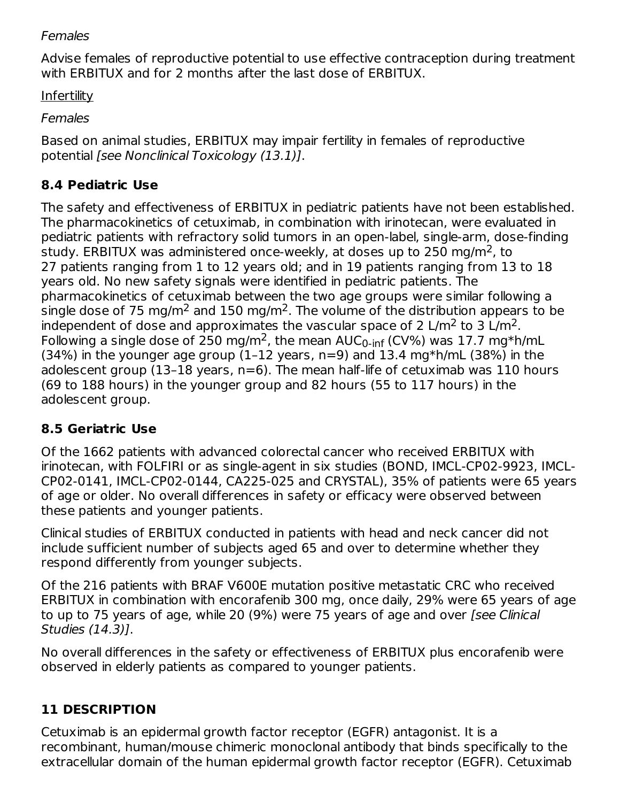#### **Females**

Advise females of reproductive potential to use effective contraception during treatment with ERBITUX and for 2 months after the last dose of ERBITUX.

Infertility

Females

Based on animal studies, ERBITUX may impair fertility in females of reproductive potential [see Nonclinical Toxicology (13.1)].

# **8.4 Pediatric Use**

The safety and effectiveness of ERBITUX in pediatric patients have not been established. The pharmacokinetics of cetuximab, in combination with irinotecan, were evaluated in pediatric patients with refractory solid tumors in an open-label, single-arm, dose-finding study. ERBITUX was administered once-weekly, at doses up to 250 mg/m<sup>2</sup>, to 27 patients ranging from 1 to 12 years old; and in 19 patients ranging from 13 to 18 years old. No new safety signals were identified in pediatric patients. The pharmacokinetics of cetuximab between the two age groups were similar following a single dose of 75 mg/m<sup>2</sup> and 150 mg/m<sup>2</sup>. The volume of the distribution appears to be independent of dose and approximates the vascular space of 2 L/m<sup>2</sup> to 3 L/m<sup>2</sup>. Following a single dose of 250 mg/m<sup>2</sup>, the mean AUC<sub>0-inf</sub> (CV%) was 17.7 mg\*h/mL  $(34%)$  in the younger age group  $(1-12 \text{ years}, n=9)$  and 13.4 mg\*h/mL  $(38%)$  in the adolescent group (13–18 years, n=6). The mean half-life of cetuximab was 110 hours (69 to 188 hours) in the younger group and 82 hours (55 to 117 hours) in the adolescent group.

# **8.5 Geriatric Use**

Of the 1662 patients with advanced colorectal cancer who received ERBITUX with irinotecan, with FOLFIRI or as single-agent in six studies (BOND, IMCL-CP02-9923, IMCL-CP02-0141, IMCL-CP02-0144, CA225-025 and CRYSTAL), 35% of patients were 65 years of age or older. No overall differences in safety or efficacy were observed between these patients and younger patients.

Clinical studies of ERBITUX conducted in patients with head and neck cancer did not include sufficient number of subjects aged 65 and over to determine whether they respond differently from younger subjects.

Of the 216 patients with BRAF V600E mutation positive metastatic CRC who received ERBITUX in combination with encorafenib 300 mg, once daily, 29% were 65 years of age to up to 75 years of age, while 20 (9%) were 75 years of age and over [see Clinical Studies (14.3)].

No overall differences in the safety or effectiveness of ERBITUX plus encorafenib were observed in elderly patients as compared to younger patients.

# **11 DESCRIPTION**

Cetuximab is an epidermal growth factor receptor (EGFR) antagonist. It is a recombinant, human/mouse chimeric monoclonal antibody that binds specifically to the extracellular domain of the human epidermal growth factor receptor (EGFR). Cetuximab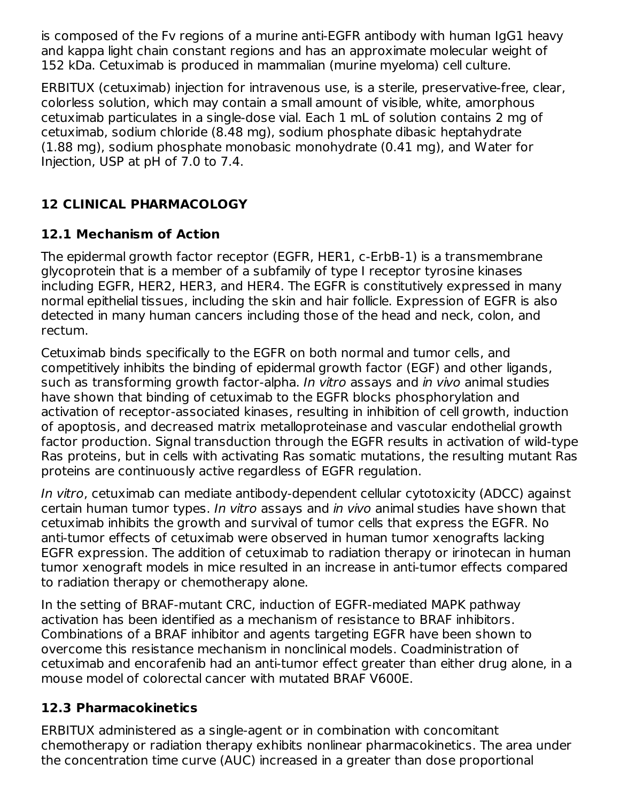is composed of the Fv regions of a murine anti-EGFR antibody with human IgG1 heavy and kappa light chain constant regions and has an approximate molecular weight of 152 kDa. Cetuximab is produced in mammalian (murine myeloma) cell culture.

ERBITUX (cetuximab) injection for intravenous use, is a sterile, preservative-free, clear, colorless solution, which may contain a small amount of visible, white, amorphous cetuximab particulates in a single-dose vial. Each 1 mL of solution contains 2 mg of cetuximab, sodium chloride (8.48 mg), sodium phosphate dibasic heptahydrate (1.88 mg), sodium phosphate monobasic monohydrate (0.41 mg), and Water for Injection, USP at pH of 7.0 to 7.4.

# **12 CLINICAL PHARMACOLOGY**

# **12.1 Mechanism of Action**

The epidermal growth factor receptor (EGFR, HER1, c-ErbB-1) is a transmembrane glycoprotein that is a member of a subfamily of type I receptor tyrosine kinases including EGFR, HER2, HER3, and HER4. The EGFR is constitutively expressed in many normal epithelial tissues, including the skin and hair follicle. Expression of EGFR is also detected in many human cancers including those of the head and neck, colon, and rectum.

Cetuximab binds specifically to the EGFR on both normal and tumor cells, and competitively inhibits the binding of epidermal growth factor (EGF) and other ligands, such as transforming growth factor-alpha. In vitro assays and in vivo animal studies have shown that binding of cetuximab to the EGFR blocks phosphorylation and activation of receptor-associated kinases, resulting in inhibition of cell growth, induction of apoptosis, and decreased matrix metalloproteinase and vascular endothelial growth factor production. Signal transduction through the EGFR results in activation of wild-type Ras proteins, but in cells with activating Ras somatic mutations, the resulting mutant Ras proteins are continuously active regardless of EGFR regulation.

In vitro, cetuximab can mediate antibody-dependent cellular cytotoxicity (ADCC) against certain human tumor types. In vitro assays and in vivo animal studies have shown that cetuximab inhibits the growth and survival of tumor cells that express the EGFR. No anti-tumor effects of cetuximab were observed in human tumor xenografts lacking EGFR expression. The addition of cetuximab to radiation therapy or irinotecan in human tumor xenograft models in mice resulted in an increase in anti-tumor effects compared to radiation therapy or chemotherapy alone.

In the setting of BRAF-mutant CRC, induction of EGFR-mediated MAPK pathway activation has been identified as a mechanism of resistance to BRAF inhibitors. Combinations of a BRAF inhibitor and agents targeting EGFR have been shown to overcome this resistance mechanism in nonclinical models. Coadministration of cetuximab and encorafenib had an anti-tumor effect greater than either drug alone, in a mouse model of colorectal cancer with mutated BRAF V600E.

# **12.3 Pharmacokinetics**

ERBITUX administered as a single-agent or in combination with concomitant chemotherapy or radiation therapy exhibits nonlinear pharmacokinetics. The area under the concentration time curve (AUC) increased in a greater than dose proportional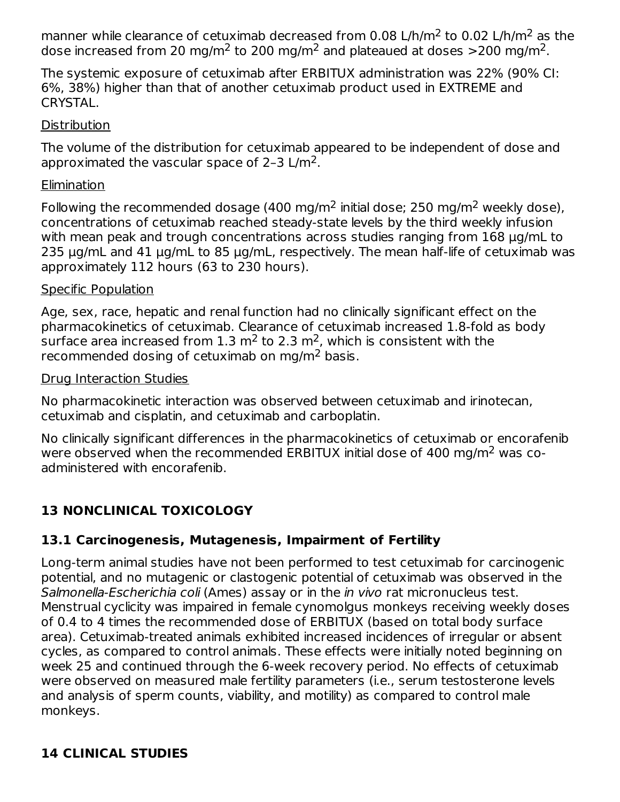manner while clearance of cetuximab decreased from 0.08 L/h/m<sup>2</sup> to 0.02 L/h/m<sup>2</sup> as the dose increased from 20 mg/m<sup>2</sup> to 200 mg/m<sup>2</sup> and plateaued at doses  $>$ 200 mg/m<sup>2</sup>.

The systemic exposure of cetuximab after ERBITUX administration was 22% (90% CI: 6%, 38%) higher than that of another cetuximab product used in EXTREME and CRYSTAL.

#### **Distribution**

The volume of the distribution for cetuximab appeared to be independent of dose and approximated the vascular space of 2-3 L/m<sup>2</sup>.

### **Elimination**

Following the recommended dosage (400 mg/m $^2$  initial dose; 250 mg/m $^2$  weekly dose), concentrations of cetuximab reached steady-state levels by the third weekly infusion with mean peak and trough concentrations across studies ranging from 168 μg/mL to 235 μg/mL and 41 μg/mL to 85 μg/mL, respectively. The mean half-life of cetuximab was approximately 112 hours (63 to 230 hours).

#### Specific Population

Age, sex, race, hepatic and renal function had no clinically significant effect on the pharmacokinetics of cetuximab. Clearance of cetuximab increased 1.8-fold as body surface area increased from 1.3 m<sup>2</sup> to 2.3 m<sup>2</sup>, which is consistent with the recommended dosing of cetuximab on mg/m<sup>2</sup> basis.

#### Drug Interaction Studies

No pharmacokinetic interaction was observed between cetuximab and irinotecan, cetuximab and cisplatin, and cetuximab and carboplatin.

No clinically significant differences in the pharmacokinetics of cetuximab or encorafenib were observed when the recommended ERBITUX initial dose of 400 mg/m<sup>2</sup> was coadministered with encorafenib.

# **13 NONCLINICAL TOXICOLOGY**

# **13.1 Carcinogenesis, Mutagenesis, Impairment of Fertility**

Long-term animal studies have not been performed to test cetuximab for carcinogenic potential, and no mutagenic or clastogenic potential of cetuximab was observed in the Salmonella-Escherichia coli (Ames) assay or in the in vivo rat micronucleus test. Menstrual cyclicity was impaired in female cynomolgus monkeys receiving weekly doses of 0.4 to 4 times the recommended dose of ERBITUX (based on total body surface area). Cetuximab-treated animals exhibited increased incidences of irregular or absent cycles, as compared to control animals. These effects were initially noted beginning on week 25 and continued through the 6-week recovery period. No effects of cetuximab were observed on measured male fertility parameters (i.e., serum testosterone levels and analysis of sperm counts, viability, and motility) as compared to control male monkeys.

# **14 CLINICAL STUDIES**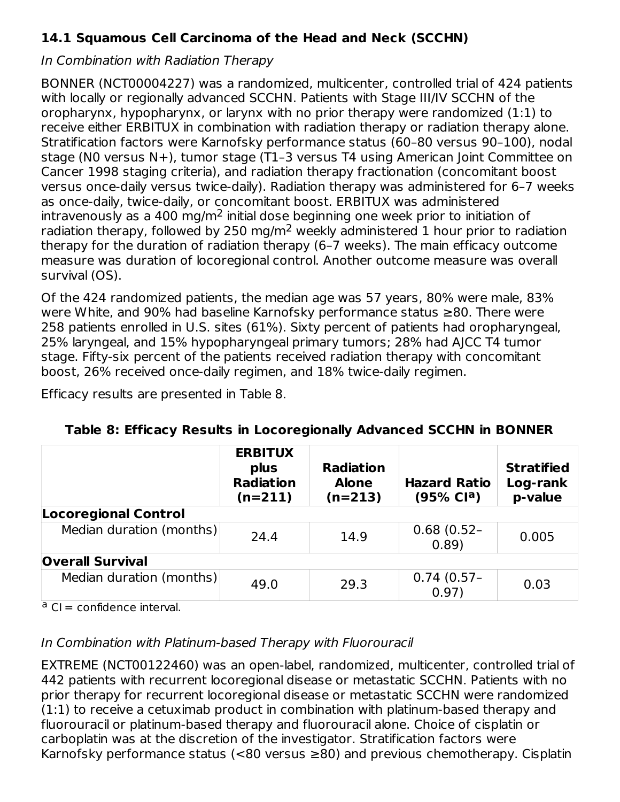# **14.1 Squamous Cell Carcinoma of the Head and Neck (SCCHN)**

#### In Combination with Radiation Therapy

BONNER (NCT00004227) was a randomized, multicenter, controlled trial of 424 patients with locally or regionally advanced SCCHN. Patients with Stage III/IV SCCHN of the oropharynx, hypopharynx, or larynx with no prior therapy were randomized (1:1) to receive either ERBITUX in combination with radiation therapy or radiation therapy alone. Stratification factors were Karnofsky performance status (60–80 versus 90–100), nodal stage (N0 versus N+), tumor stage (T1–3 versus T4 using American Joint Committee on Cancer 1998 staging criteria), and radiation therapy fractionation (concomitant boost versus once-daily versus twice-daily). Radiation therapy was administered for 6–7 weeks as once-daily, twice-daily, or concomitant boost. ERBITUX was administered intravenously as a 400 mg/m<sup>2</sup> initial dose beginning one week prior to initiation of radiation therapy, followed by 250 mg/m<sup>2</sup> weekly administered 1 hour prior to radiation therapy for the duration of radiation therapy (6–7 weeks). The main efficacy outcome measure was duration of locoregional control. Another outcome measure was overall survival (OS).

Of the 424 randomized patients, the median age was 57 years, 80% were male, 83% were White, and 90% had baseline Karnofsky performance status ≥80. There were 258 patients enrolled in U.S. sites (61%). Sixty percent of patients had oropharyngeal, 25% laryngeal, and 15% hypopharyngeal primary tumors; 28% had AJCC T4 tumor stage. Fifty-six percent of the patients received radiation therapy with concomitant boost, 26% received once-daily regimen, and 18% twice-daily regimen.

Efficacy results are presented in Table 8.

|                             | <b>ERBITUX</b><br>plus<br><b>Radiation</b><br>$(n=211)$ | <b>Radiation</b><br><b>Alone</b><br>$(n=213)$ | <b>Hazard Ratio</b><br>(95% Cl <sup>a</sup> ) | <b>Stratified</b><br>Log-rank<br>p-value |  |  |
|-----------------------------|---------------------------------------------------------|-----------------------------------------------|-----------------------------------------------|------------------------------------------|--|--|
| <b>Locoregional Control</b> |                                                         |                                               |                                               |                                          |  |  |
| Median duration (months)    | 24.4                                                    | 14.9                                          | $0.68(0.52 -$<br>0.89)                        | 0.005                                    |  |  |
| <b>Overall Survival</b>     |                                                         |                                               |                                               |                                          |  |  |
| Median duration (months)    | 49.0                                                    | 29.3                                          | $0.74(0.57 -$<br>0.97)                        | 0.03                                     |  |  |

|  |  | Table 8: Efficacy Results in Locoregionally Advanced SCCHN in BONNER |
|--|--|----------------------------------------------------------------------|
|--|--|----------------------------------------------------------------------|

<sup>a</sup> CI = confidence interval.

### In Combination with Platinum-based Therapy with Fluorouracil

EXTREME (NCT00122460) was an open-label, randomized, multicenter, controlled trial of 442 patients with recurrent locoregional disease or metastatic SCCHN. Patients with no prior therapy for recurrent locoregional disease or metastatic SCCHN were randomized (1:1) to receive a cetuximab product in combination with platinum-based therapy and fluorouracil or platinum-based therapy and fluorouracil alone. Choice of cisplatin or carboplatin was at the discretion of the investigator. Stratification factors were Karnofsky performance status (<80 versus  $\geq$ 80) and previous chemotherapy. Cisplatin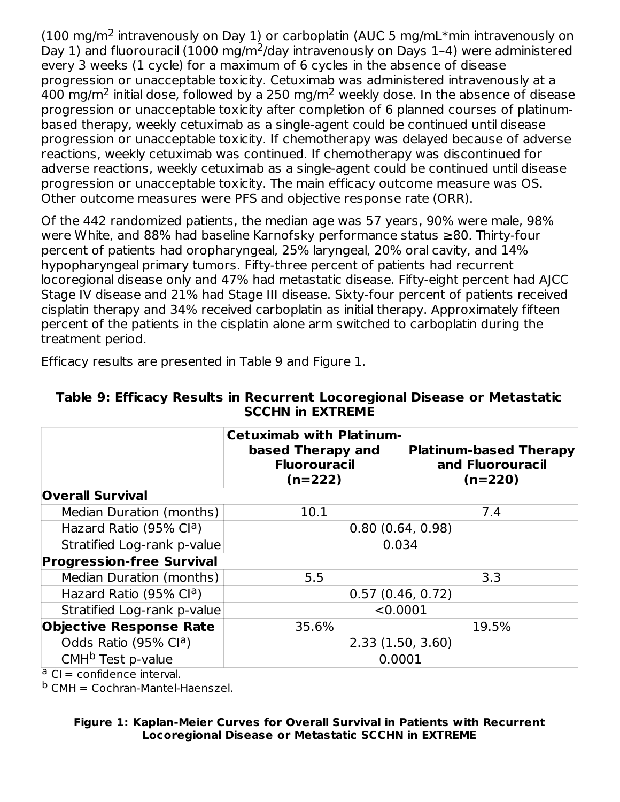(100 mg/m<sup>2</sup> intravenously on Day 1) or carboplatin (AUC 5 mg/mL\*min intravenously on Day 1) and fluorouracil (1000 mg/m<sup>2</sup>/day intravenously on Days 1-4) were administered every 3 weeks (1 cycle) for a maximum of 6 cycles in the absence of disease progression or unacceptable toxicity. Cetuximab was administered intravenously at a 400 mg/m<sup>2</sup> initial dose, followed by a 250 mg/m<sup>2</sup> weekly dose. In the absence of disease progression or unacceptable toxicity after completion of 6 planned courses of platinumbased therapy, weekly cetuximab as a single-agent could be continued until disease progression or unacceptable toxicity. If chemotherapy was delayed because of adverse reactions, weekly cetuximab was continued. If chemotherapy was discontinued for adverse reactions, weekly cetuximab as a single-agent could be continued until disease progression or unacceptable toxicity. The main efficacy outcome measure was OS. Other outcome measures were PFS and objective response rate (ORR).

Of the 442 randomized patients, the median age was 57 years, 90% were male, 98% were White, and 88% had baseline Karnofsky performance status ≥80. Thirty-four percent of patients had oropharyngeal, 25% laryngeal, 20% oral cavity, and 14% hypopharyngeal primary tumors. Fifty-three percent of patients had recurrent locoregional disease only and 47% had metastatic disease. Fifty-eight percent had AJCC Stage IV disease and 21% had Stage III disease. Sixty-four percent of patients received cisplatin therapy and 34% received carboplatin as initial therapy. Approximately fifteen percent of the patients in the cisplatin alone arm switched to carboplatin during the treatment period.

Efficacy results are presented in Table 9 and Figure 1.

|                                     | <b>Cetuximab with Platinum-</b><br>based Therapy and<br><b>Fluorouracil</b><br>$(n=222)$ | <b>Platinum-based Therapy</b><br>and Fluorouracil<br>$(n=220)$ |  |  |
|-------------------------------------|------------------------------------------------------------------------------------------|----------------------------------------------------------------|--|--|
| <b>Overall Survival</b>             |                                                                                          |                                                                |  |  |
| Median Duration (months)            | 10.1                                                                                     | 7.4                                                            |  |  |
| Hazard Ratio (95% Cl <sup>a</sup> ) | 0.80(0.64, 0.98)                                                                         |                                                                |  |  |
| Stratified Log-rank p-value         | 0.034                                                                                    |                                                                |  |  |
| <b>Progression-free Survival</b>    |                                                                                          |                                                                |  |  |
| Median Duration (months)            | 5.5                                                                                      | 3.3                                                            |  |  |
| Hazard Ratio (95% Cl <sup>a</sup> ) | 0.57(0.46, 0.72)                                                                         |                                                                |  |  |
| Stratified Log-rank p-value         | < 0.0001                                                                                 |                                                                |  |  |
| <b>Objective Response Rate</b>      | 35.6%                                                                                    | 19.5%                                                          |  |  |
| Odds Ratio (95% Cl <sup>a</sup> )   | 2.33(1.50, 3.60)                                                                         |                                                                |  |  |
| CMH <sup>b</sup> Test p-value       | 0.0001                                                                                   |                                                                |  |  |

#### **Table 9: Efficacy Results in Recurrent Locoregional Disease or Metastatic SCCHN in EXTREME**

<sup>a</sup> CI = confidence interval.

<sup>b</sup> CMH = Cochran-Mantel-Haenszel.

#### **Figure 1: Kaplan-Meier Curves for Overall Survival in Patients with Recurrent Locoregional Disease or Metastatic SCCHN in EXTREME**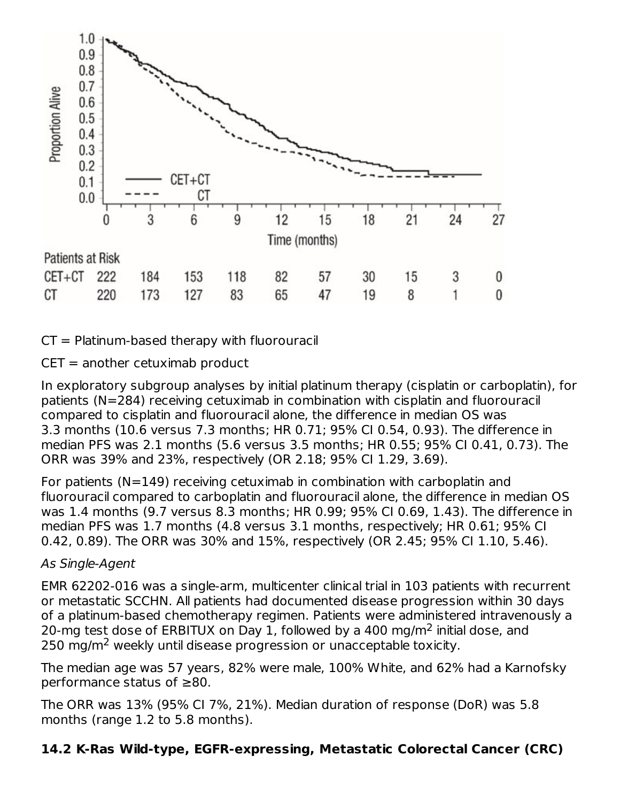

 $CT =$  Platinum-based therapy with fluorouracil

 $CET = another cetuximab product$ 

In exploratory subgroup analyses by initial platinum therapy (cisplatin or carboplatin), for patients (N=284) receiving cetuximab in combination with cisplatin and fluorouracil compared to cisplatin and fluorouracil alone, the difference in median OS was 3.3 months (10.6 versus 7.3 months; HR 0.71; 95% CI 0.54, 0.93). The difference in median PFS was 2.1 months (5.6 versus 3.5 months; HR 0.55; 95% CI 0.41, 0.73). The ORR was 39% and 23%, respectively (OR 2.18; 95% CI 1.29, 3.69).

For patients (N=149) receiving cetuximab in combination with carboplatin and fluorouracil compared to carboplatin and fluorouracil alone, the difference in median OS was 1.4 months (9.7 versus 8.3 months; HR 0.99; 95% CI 0.69, 1.43). The difference in median PFS was 1.7 months (4.8 versus 3.1 months, respectively; HR 0.61; 95% CI 0.42, 0.89). The ORR was 30% and 15%, respectively (OR 2.45; 95% CI 1.10, 5.46).

#### As Single-Agent

EMR 62202-016 was a single-arm, multicenter clinical trial in 103 patients with recurrent or metastatic SCCHN. All patients had documented disease progression within 30 days of a platinum-based chemotherapy regimen. Patients were administered intravenously a 20-mg test dose of ERBITUX on Day 1, followed by a 400 mg/m<sup>2</sup> initial dose, and  $250$  mg/m<sup>2</sup> weekly until disease progression or unacceptable toxicity.

The median age was 57 years, 82% were male, 100% White, and 62% had a Karnofsky performance status of ≥80.

The ORR was 13% (95% CI 7%, 21%). Median duration of response (DoR) was 5.8 months (range 1.2 to 5.8 months).

### **14.2 K-Ras Wild-type, EGFR-expressing, Metastatic Colorectal Cancer (CRC)**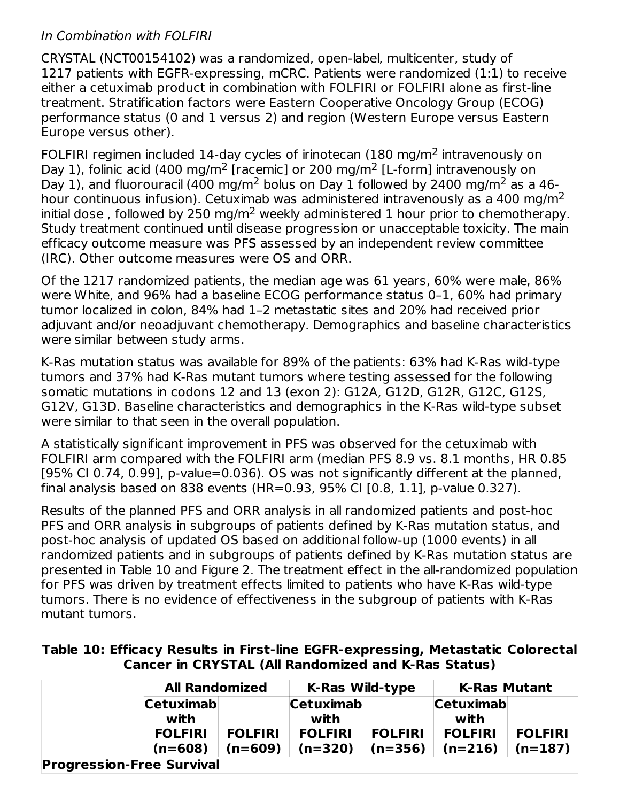### In Combination with FOLFIRI

CRYSTAL (NCT00154102) was a randomized, open-label, multicenter, study of 1217 patients with EGFR-expressing, mCRC. Patients were randomized (1:1) to receive either a cetuximab product in combination with FOLFIRI or FOLFIRI alone as first-line treatment. Stratification factors were Eastern Cooperative Oncology Group (ECOG) performance status (0 and 1 versus 2) and region (Western Europe versus Eastern Europe versus other).

FOLFIRI regimen included 14-day cycles of irinotecan (180 mg/m<sup>2</sup> intravenously on Day 1), folinic acid (400 mg/m<sup>2</sup> [racemic] or 200 mg/m<sup>2</sup> [L-form] intravenously on Day 1), and fluorouracil (400 mg/m<sup>2</sup> bolus on Day 1 followed by 2400 mg/m<sup>2</sup> as a 46hour continuous infusion). Cetuximab was administered intravenously as a 400 mg/m<sup>2</sup> initial dose, followed by 250 mg/m<sup>2</sup> weekly administered 1 hour prior to chemotherapy. Study treatment continued until disease progression or unacceptable toxicity. The main efficacy outcome measure was PFS assessed by an independent review committee (IRC). Other outcome measures were OS and ORR.

Of the 1217 randomized patients, the median age was 61 years, 60% were male, 86% were White, and 96% had a baseline ECOG performance status 0–1, 60% had primary tumor localized in colon, 84% had 1–2 metastatic sites and 20% had received prior adjuvant and/or neoadjuvant chemotherapy. Demographics and baseline characteristics were similar between study arms.

K-Ras mutation status was available for 89% of the patients: 63% had K-Ras wild-type tumors and 37% had K-Ras mutant tumors where testing assessed for the following somatic mutations in codons 12 and 13 (exon 2): G12A, G12D, G12R, G12C, G12S, G12V, G13D. Baseline characteristics and demographics in the K-Ras wild-type subset were similar to that seen in the overall population.

A statistically significant improvement in PFS was observed for the cetuximab with FOLFIRI arm compared with the FOLFIRI arm (median PFS 8.9 vs. 8.1 months, HR 0.85 [95% CI 0.74, 0.99], p-value=0.036). OS was not significantly different at the planned, final analysis based on 838 events (HR=0.93, 95% CI [0.8, 1.1], p-value 0.327).

Results of the planned PFS and ORR analysis in all randomized patients and post-hoc PFS and ORR analysis in subgroups of patients defined by K-Ras mutation status, and post-hoc analysis of updated OS based on additional follow-up (1000 events) in all randomized patients and in subgroups of patients defined by K-Ras mutation status are presented in Table 10 and Figure 2. The treatment effect in the all-randomized population for PFS was driven by treatment effects limited to patients who have K-Ras wild-type tumors. There is no evidence of effectiveness in the subgroup of patients with K-Ras mutant tumors.

#### **Table 10: Efficacy Results in First-line EGFR-expressing, Metastatic Colorectal Cancer in CRYSTAL (All Randomized and K-Ras Status)**

|                                  | <b>All Randomized</b> |                          | <b>K-Ras Wild-type</b>   | <b>K-Ras Mutant</b> |                |  |
|----------------------------------|-----------------------|--------------------------|--------------------------|---------------------|----------------|--|
| <b>Cetuximab</b><br>with         |                       | <b>Cetuximab</b><br>with | <b>Cetuximab</b><br>with |                     |                |  |
| <b>FOLFIRI</b>                   | <b>FOLFIRI</b>        | <b>FOLFIRI</b>           | <b>FOLFIRI</b>           | <b>FOLFIRI</b>      | <b>FOLFIRI</b> |  |
| $(n=608)$                        | $(n=609)$             | $(n=320)$                | $(n=356)$                | $(n=216)$           | $(n=187)$      |  |
| <b>Progression-Free Survival</b> |                       |                          |                          |                     |                |  |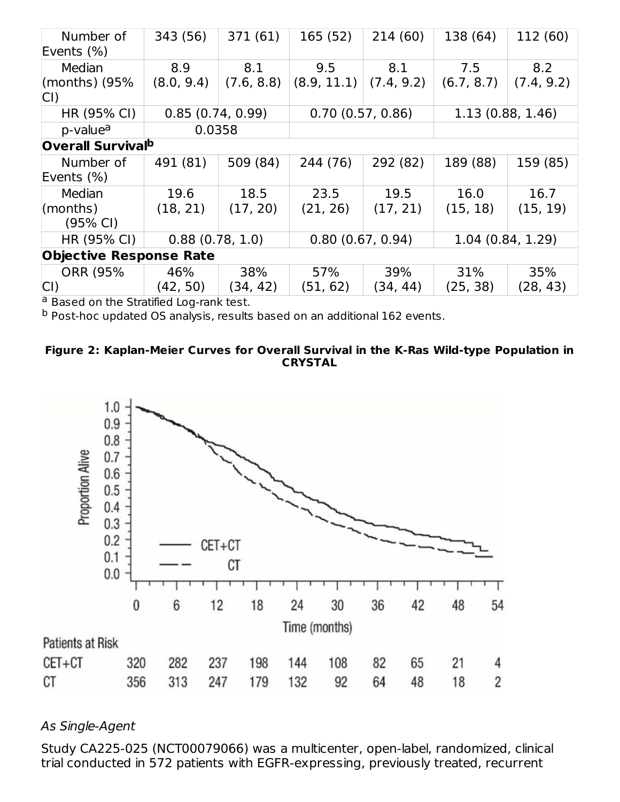| Number of<br>Events $(\%)$    | 343 (56)                            | 371 (61)   | 165(52)                              | 214(60)    | 138 (64)         | 112 (60)   |  |
|-------------------------------|-------------------------------------|------------|--------------------------------------|------------|------------------|------------|--|
| Median                        | 8.9                                 | 8.1        | 9.5                                  | 8.1        | 7.5              | 8.2        |  |
| (months) $(95%$               | (8.0, 9.4)                          | (7.6, 8.8) | (8.9, 11.1)                          | (7.4, 9.2) | (6.7, 8.7)       | (7.4, 9.2) |  |
| CI)                           |                                     |            |                                      |            |                  |            |  |
| HR (95% CI)                   | 0.85(0.74, 0.99)                    |            | 0.70(0.57, 0.86)                     |            | 1.13(0.88, 1.46) |            |  |
| p-value <sup>a</sup>          | 0.0358                              |            |                                      |            |                  |            |  |
|                               | <b>Overall Survival<sup>b</sup></b> |            |                                      |            |                  |            |  |
| Number of                     | 491 (81)                            | 509 (84)   | 244 (76)                             | 292 (82)   | 189 (88)         | 159 (85)   |  |
| Events $(\%)$                 |                                     |            |                                      |            |                  |            |  |
| Median                        | 19.6                                | 18.5       | 23.5                                 | 19.5       | 16.0             | 16.7       |  |
| $\mathsf{ }(\mathsf{months})$ | (18, 21)                            | (17, 20)   | (21, 26)                             | (17, 21)   | (15, 18)         | (15, 19)   |  |
| $(95% \text{ Cl})$            |                                     |            |                                      |            |                  |            |  |
| HR (95% CI)                   | 0.88(0.78, 1.0)                     |            | 0.80(0.67, 0.94)<br>1.04(0.84, 1.29) |            |                  |            |  |
|                               | <b>Objective Response Rate</b>      |            |                                      |            |                  |            |  |
| <b>ORR (95%)</b>              | 46%                                 | 38%        | 57%                                  | 39%        | 31%              | 35%        |  |
| $ CI\rangle$                  | (42, 50)                            | (34, 42)   | (51, 62)                             | (34, 44)   | (25, 38)         | (28, 43)   |  |

<sup>a</sup> Based on the Stratified Log-rank test.

<sup>b</sup> Post-hoc updated OS analysis, results based on an additional 162 events.





#### As Single-Agent

Study CA225-025 (NCT00079066) was a multicenter, open-label, randomized, clinical trial conducted in 572 patients with EGFR-expressing, previously treated, recurrent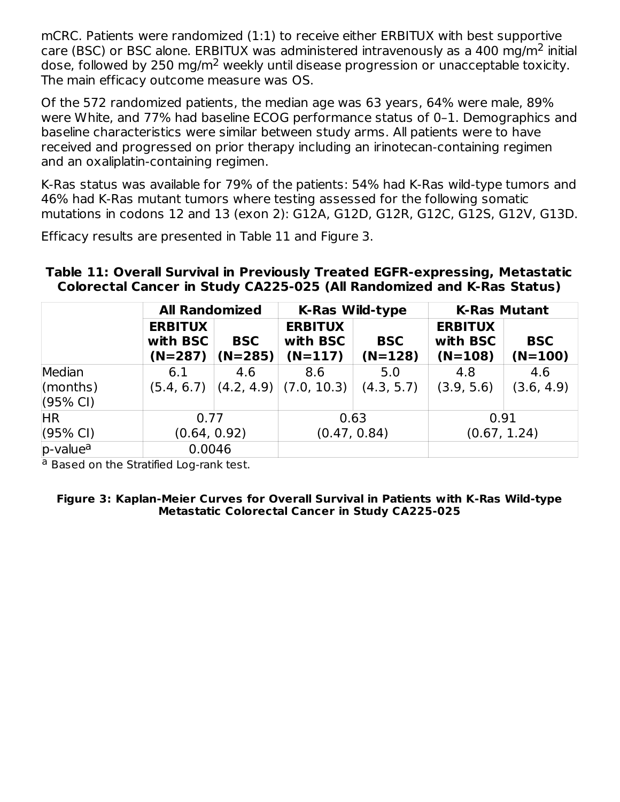mCRC. Patients were randomized (1:1) to receive either ERBITUX with best supportive care (BSC) or BSC alone. ERBITUX was administered intravenously as a 400 mg/m<sup>2</sup> initial dose, followed by 250 mg/m $^2$  weekly until disease progression or unacceptable toxicity. The main efficacy outcome measure was OS.

Of the 572 randomized patients, the median age was 63 years, 64% were male, 89% were White, and 77% had baseline ECOG performance status of 0–1. Demographics and baseline characteristics were similar between study arms. All patients were to have received and progressed on prior therapy including an irinotecan-containing regimen and an oxaliplatin-containing regimen.

K-Ras status was available for 79% of the patients: 54% had K-Ras wild-type tumors and 46% had K-Ras mutant tumors where testing assessed for the following somatic mutations in codons 12 and 13 (exon 2): G12A, G12D, G12R, G12C, G12S, G12V, G13D.

Efficacy results are presented in Table 11 and Figure 3.

#### **Table 11: Overall Survival in Previously Treated EGFR-expressing, Metastatic Colorectal Cancer in Study CA225-025 (All Randomized and K-Ras Status)**

|                                |                                         | <b>All Randomized</b>   |                                         | <b>K-Ras Wild-type</b>  | <b>K-Ras Mutant</b>                     |                         |
|--------------------------------|-----------------------------------------|-------------------------|-----------------------------------------|-------------------------|-----------------------------------------|-------------------------|
|                                | <b>ERBITUX</b><br>with BSC<br>$(N=287)$ | <b>BSC</b><br>$(N=285)$ | <b>ERBITUX</b><br>with BSC<br>$(N=117)$ | <b>BSC</b><br>$(N=128)$ | <b>ERBITUX</b><br>with BSC<br>$(N=108)$ | <b>BSC</b><br>$(N=100)$ |
| Median                         | 6.1                                     | 4.6                     | 8.6                                     | 5.0                     | 4.8                                     | 4.6                     |
| (months)<br>$(95% \text{ Cl})$ | (5.4, 6.7)                              | (4.2, 4.9)              | (7.0, 10.3)                             | (4.3, 5.7)              | (3.9, 5.6)                              | (3.6, 4.9)              |
| <b>HR</b>                      | 0.77                                    |                         |                                         | 0.63                    | 0.91                                    |                         |
| $(95% \text{ Cl})$             | (0.64, 0.92)                            |                         | (0.47, 0.84)                            |                         |                                         | (0.67, 1.24)            |
| p-value <sup>a</sup>           | 0.0046                                  |                         |                                         |                         |                                         |                         |

<sup>a</sup> Based on the Stratified Log-rank test.

**Figure 3: Kaplan-Meier Curves for Overall Survival in Patients with K-Ras Wild-type Metastatic Colorectal Cancer in Study CA225-025**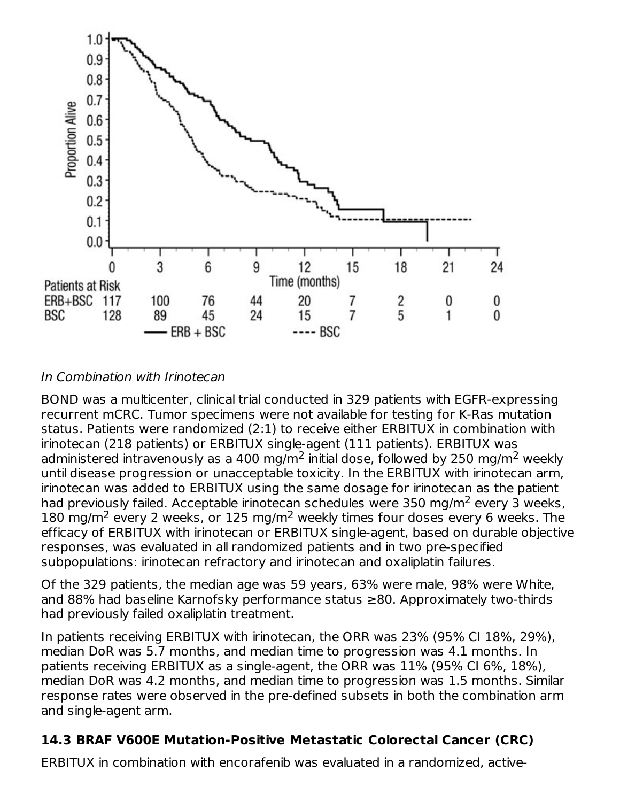

#### In Combination with Irinotecan

BOND was a multicenter, clinical trial conducted in 329 patients with EGFR-expressing recurrent mCRC. Tumor specimens were not available for testing for K-Ras mutation status. Patients were randomized (2:1) to receive either ERBITUX in combination with irinotecan (218 patients) or ERBITUX single-agent (111 patients). ERBITUX was administered intravenously as a 400 mg/m<sup>2</sup> initial dose, followed by 250 mg/m<sup>2</sup> weekly until disease progression or unacceptable toxicity. In the ERBITUX with irinotecan arm, irinotecan was added to ERBITUX using the same dosage for irinotecan as the patient had previously failed. Acceptable irinotecan schedules were 350 mg/m<sup>2</sup> every 3 weeks, 180 mg/m<sup>2</sup> every 2 weeks, or 125 mg/m<sup>2</sup> weekly times four doses every 6 weeks. The efficacy of ERBITUX with irinotecan or ERBITUX single-agent, based on durable objective responses, was evaluated in all randomized patients and in two pre-specified subpopulations: irinotecan refractory and irinotecan and oxaliplatin failures.

Of the 329 patients, the median age was 59 years, 63% were male, 98% were White, and 88% had baseline Karnofsky performance status ≥80. Approximately two-thirds had previously failed oxaliplatin treatment.

In patients receiving ERBITUX with irinotecan, the ORR was 23% (95% CI 18%, 29%), median DoR was 5.7 months, and median time to progression was 4.1 months. In patients receiving ERBITUX as a single-agent, the ORR was 11% (95% CI 6%, 18%), median DoR was 4.2 months, and median time to progression was 1.5 months. Similar response rates were observed in the pre-defined subsets in both the combination arm and single-agent arm.

# **14.3 BRAF V600E Mutation-Positive Metastatic Colorectal Cancer (CRC)**

ERBITUX in combination with encorafenib was evaluated in a randomized, active-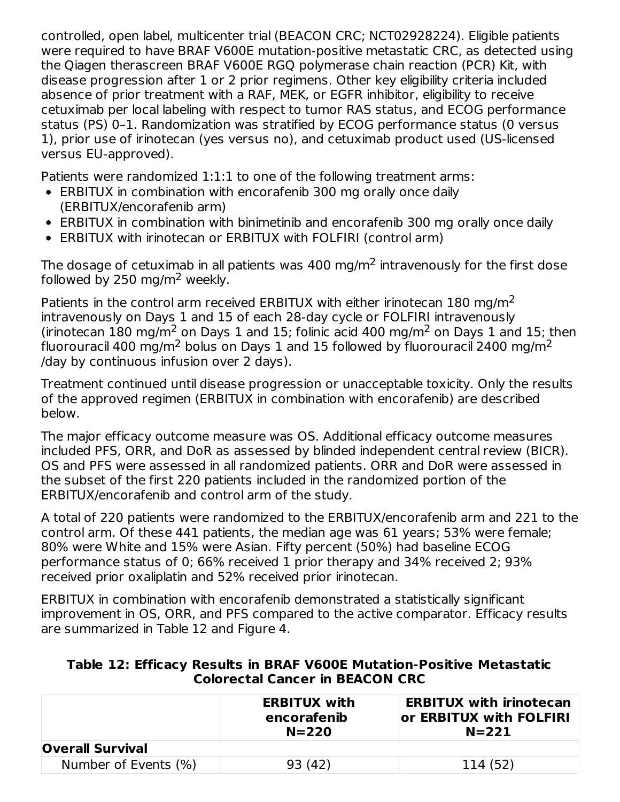controlled, open label, multicenter trial (BEACON CRC; NCT02928224). Eligible patients were required to have BRAF V600E mutation-positive metastatic CRC, as detected using the Qiagen therascreen BRAF V600E RGQ polymerase chain reaction (PCR) Kit, with disease progression after 1 or 2 prior regimens. Other key eligibility criteria included absence of prior treatment with a RAF, MEK, or EGFR inhibitor, eligibility to receive cetuximab per local labeling with respect to tumor RAS status, and ECOG performance status (PS) 0–1. Randomization was stratified by ECOG performance status (0 versus 1), prior use of irinotecan (yes versus no), and cetuximab product used (US-licensed versus EU-approved).

Patients were randomized 1:1:1 to one of the following treatment arms:

- ERBITUX in combination with encorafenib 300 mg orally once daily (ERBITUX/encorafenib arm)
- ERBITUX in combination with binimetinib and encorafenib 300 mg orally once daily
- ERBITUX with irinotecan or ERBITUX with FOLFIRI (control arm)

The dosage of cetuximab in all patients was 400 mg/m<sup>2</sup> intravenously for the first dose followed by 250 mg/m<sup>2</sup> weekly.

Patients in the control arm received ERBITUX with either irinotecan  $180 \text{ mg/m}^2$ intravenously on Days 1 and 15 of each 28-day cycle or FOLFIRI intravenously (irinotecan 180 mg/m<sup>2</sup> on Days 1 and 15; folinic acid 400 mg/m<sup>2</sup> on Days 1 and 15; then fluorouracil 400 mg/m $^2$  bolus on Days 1 and 15 followed by fluorouracil 2400 mg/m $^2$ /day by continuous infusion over 2 days).

Treatment continued until disease progression or unacceptable toxicity. Only the results of the approved regimen (ERBITUX in combination with encorafenib) are described below.

The major efficacy outcome measure was OS. Additional efficacy outcome measures included PFS, ORR, and DoR as assessed by blinded independent central review (BICR). OS and PFS were assessed in all randomized patients. ORR and DoR were assessed in the subset of the first 220 patients included in the randomized portion of the ERBITUX/encorafenib and control arm of the study.

A total of 220 patients were randomized to the ERBITUX/encorafenib arm and 221 to the control arm. Of these 441 patients, the median age was 61 years; 53% were female; 80% were White and 15% were Asian. Fifty percent (50%) had baseline ECOG performance status of 0; 66% received 1 prior therapy and 34% received 2; 93% received prior oxaliplatin and 52% received prior irinotecan.

ERBITUX in combination with encorafenib demonstrated a statistically significant improvement in OS, ORR, and PFS compared to the active comparator. Efficacy results are summarized in Table 12 and Figure 4.

#### **Table 12: Efficacy Results in BRAF V600E Mutation-Positive Metastatic Colorectal Cancer in BEACON CRC**

|                         | <b>ERBITUX with</b><br>encorafenib<br>$N = 220$ | <b>ERBITUX with irinotecan</b><br>or $ERBITUX$ with $FOLFIRI$<br>$N = 221$ |
|-------------------------|-------------------------------------------------|----------------------------------------------------------------------------|
| <b>Overall Survival</b> |                                                 |                                                                            |
| Number of Events (%)    | 93 (42)                                         | 114 (52)                                                                   |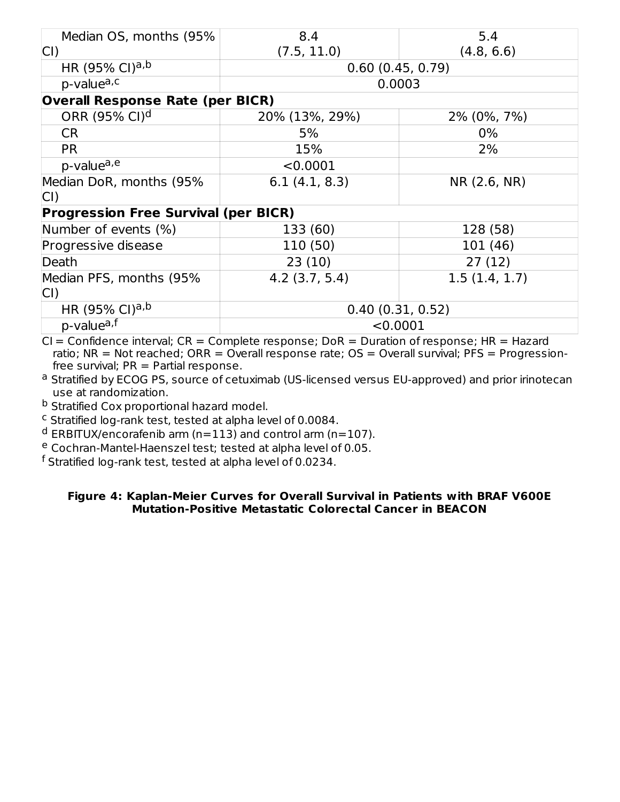| Median OS, months (95%                      | 8.4              | 5.4           |  |
|---------------------------------------------|------------------|---------------|--|
|                                             |                  |               |  |
| CI)                                         | (7.5, 11.0)      | (4.8, 6.6)    |  |
| HR (95% CI) <sup>a,b</sup>                  | 0.60(0.45, 0.79) |               |  |
| p-valuea,c                                  |                  | 0.0003        |  |
| <b>Overall Response Rate (per BICR)</b>     |                  |               |  |
| ORR (95% CI) <sup>d</sup>                   | 20% (13%, 29%)   | 2% (0%, 7%)   |  |
| <b>CR</b>                                   | 5%               | $0\%$         |  |
| <b>PR</b>                                   | 15%              | 2%            |  |
| p-valuea,e                                  | < 0.0001         |               |  |
| Median DoR, months (95%                     | 6.1(4.1, 8.3)    | NR (2.6, NR)  |  |
| CI)                                         |                  |               |  |
| <b>Progression Free Survival (per BICR)</b> |                  |               |  |
| Number of events (%)                        | 133 (60)         | 128 (58)      |  |
| Progressive disease                         | 110 (50)         | 101 (46)      |  |
| Death                                       | 23(10)           | 27(12)        |  |
| Median PFS, months (95%                     | $4.2$ (3.7, 5.4) | 1.5(1.4, 1.7) |  |
| CI)                                         |                  |               |  |
| HR (95% CI) <sup>a,b</sup>                  | 0.40(0.31, 0.52) |               |  |
| $p$ -value <sup>a,f</sup>                   | < 0.0001         |               |  |

 $CI =$  Confidence interval;  $CR =$  Complete response;  $DoR =$  Duration of response;  $HR =$  Hazard ratio; NR = Not reached; ORR = Overall response rate; OS = Overall survival; PFS = Progressionfree survival;  $PR = Partial response$ .

<sup>a</sup> Stratified by ECOG PS, source of cetuximab (US-licensed versus EU-approved) and prior irinotecan use at randomization.

<sup>b</sup> Stratified Cox proportional hazard model.

 $c$  Stratified log-rank test, tested at alpha level of 0.0084.

 $^{\text{d}}$  ERBITUX/encorafenib arm (n=113) and control arm (n=107).

<sup>e</sup> Cochran-Mantel-Haenszel test; tested at alpha level of 0.05.

 $^\mathsf{f}$  Stratified log-rank test, tested at alpha level of 0.0234.

#### **Figure 4: Kaplan-Meier Curves for Overall Survival in Patients with BRAF V600E Mutation-Positive Metastatic Colorectal Cancer in BEACON**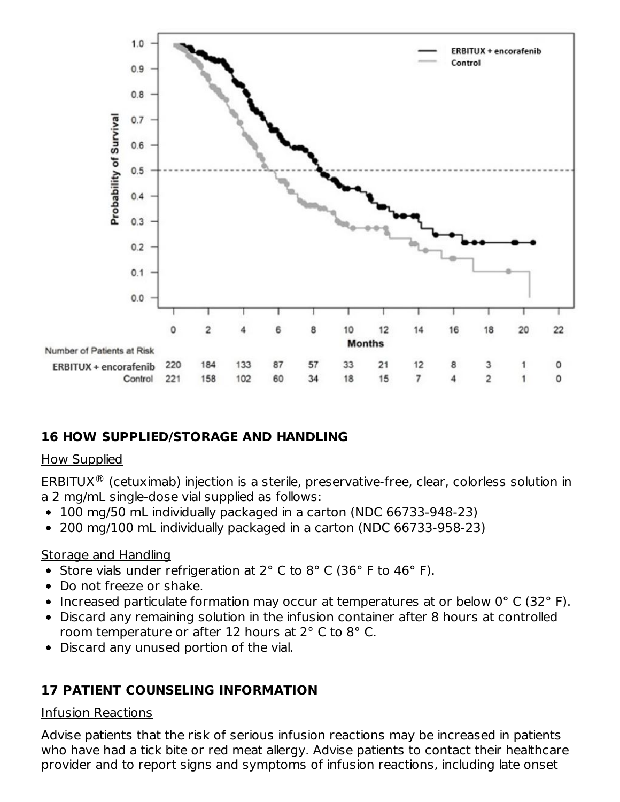

### **16 HOW SUPPLIED/STORAGE AND HANDLING**

#### How Supplied

ERBITUX $^{\circledR}$  (cetuximab) injection is a sterile, preservative-free, clear, colorless solution in a 2 mg/mL single-dose vial supplied as follows:

- 100 mg/50 mL individually packaged in a carton (NDC 66733-948-23)
- 200 mg/100 mL individually packaged in a carton (NDC 66733-958-23)

#### Storage and Handling

- Store vials under refrigeration at 2° C to 8° C (36° F to 46° F).
- Do not freeze or shake.
- Increased particulate formation may occur at temperatures at or below  $0^{\circ}$  C (32 $^{\circ}$  F).
- Discard any remaining solution in the infusion container after 8 hours at controlled room temperature or after 12 hours at 2° C to 8° C.
- Discard any unused portion of the vial.

### **17 PATIENT COUNSELING INFORMATION**

#### Infusion Reactions

Advise patients that the risk of serious infusion reactions may be increased in patients who have had a tick bite or red meat allergy. Advise patients to contact their healthcare provider and to report signs and symptoms of infusion reactions, including late onset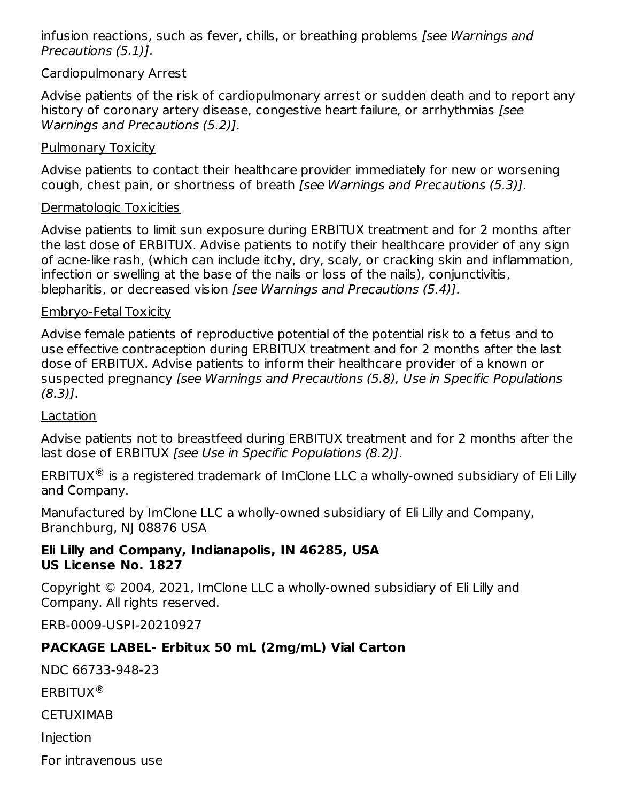infusion reactions, such as fever, chills, or breathing problems [see Warnings and Precautions (5.1)].

#### Cardiopulmonary Arrest

Advise patients of the risk of cardiopulmonary arrest or sudden death and to report any history of coronary artery disease, congestive heart failure, or arrhythmias [see Warnings and Precautions (5.2)].

#### Pulmonary Toxicity

Advise patients to contact their healthcare provider immediately for new or worsening cough, chest pain, or shortness of breath [see Warnings and Precautions (5.3)].

#### Dermatologic Toxicities

Advise patients to limit sun exposure during ERBITUX treatment and for 2 months after the last dose of ERBITUX. Advise patients to notify their healthcare provider of any sign of acne-like rash, (which can include itchy, dry, scaly, or cracking skin and inflammation, infection or swelling at the base of the nails or loss of the nails), conjunctivitis, blepharitis, or decreased vision [see Warnings and Precautions (5.4)].

#### Embryo-Fetal Toxicity

Advise female patients of reproductive potential of the potential risk to a fetus and to use effective contraception during ERBITUX treatment and for 2 months after the last dose of ERBITUX. Advise patients to inform their healthcare provider of a known or suspected pregnancy [see Warnings and Precautions (5.8), Use in Specific Populations  $(8.3)$ ].

#### Lactation

Advise patients not to breastfeed during ERBITUX treatment and for 2 months after the last dose of ERBITUX [see Use in Specific Populations (8.2)].

ERBITUX $^{\circledR}$  is a registered trademark of ImClone LLC a wholly-owned subsidiary of Eli Lilly and Company.

Manufactured by ImClone LLC a wholly-owned subsidiary of Eli Lilly and Company, Branchburg, NJ 08876 USA

#### **Eli Lilly and Company, Indianapolis, IN 46285, USA US License No. 1827**

Copyright © 2004, 2021, ImClone LLC a wholly-owned subsidiary of Eli Lilly and Company. All rights reserved.

ERB-0009-USPI-20210927

### **PACKAGE LABEL- Erbitux 50 mL (2mg/mL) Vial Carton**

NDC 66733-948-23

ERBITUX ®

**CETUXIMAB** 

Injection

For intravenous use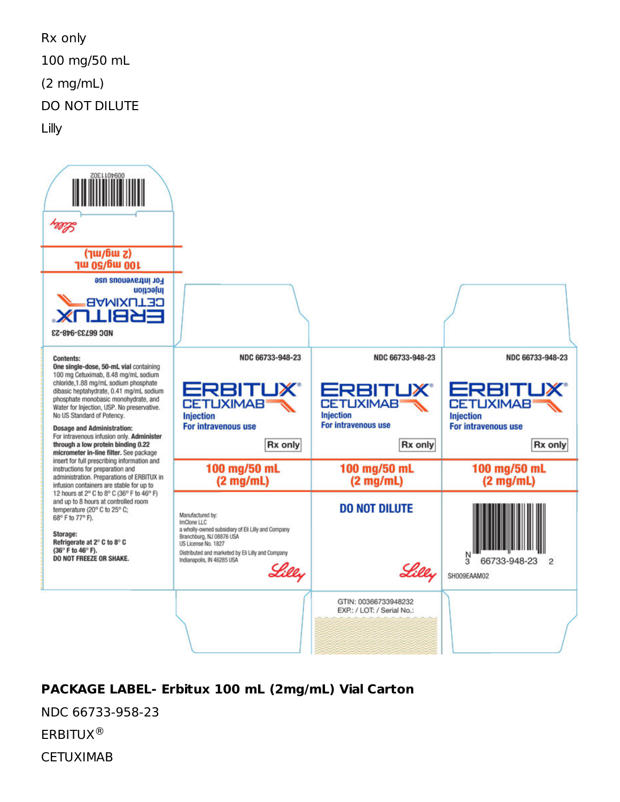Rx only 100 mg/50 mL (2 mg/mL) DO NOT DILUTE Lilly



# **PACKAGE LABEL- Erbitux 100 mL (2mg/mL) Vial Carton**

NDC 66733-958-23

ERBITUX ®

**CETUXIMAB**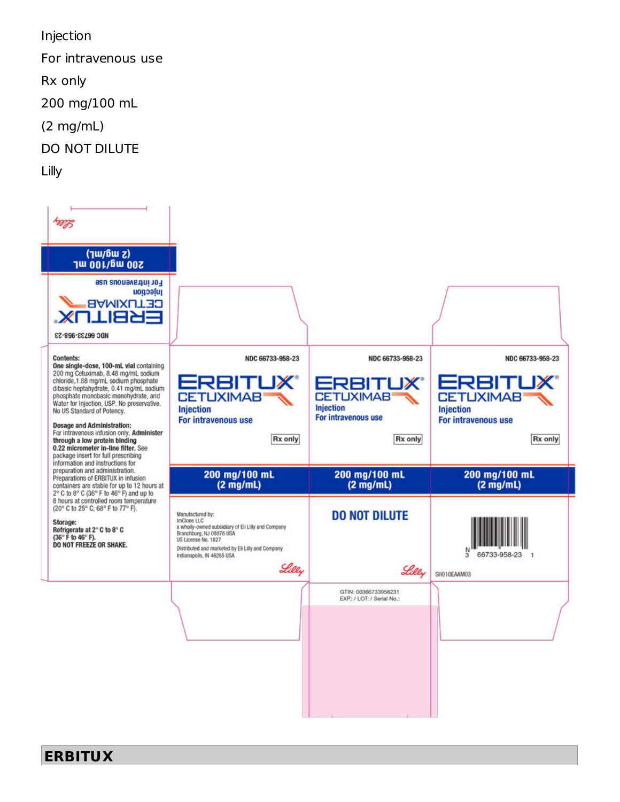Injection

For intravenous use

Rx only

200 mg/100 mL

- (2 mg/mL)
- DO NOT DILUTE

Lilly

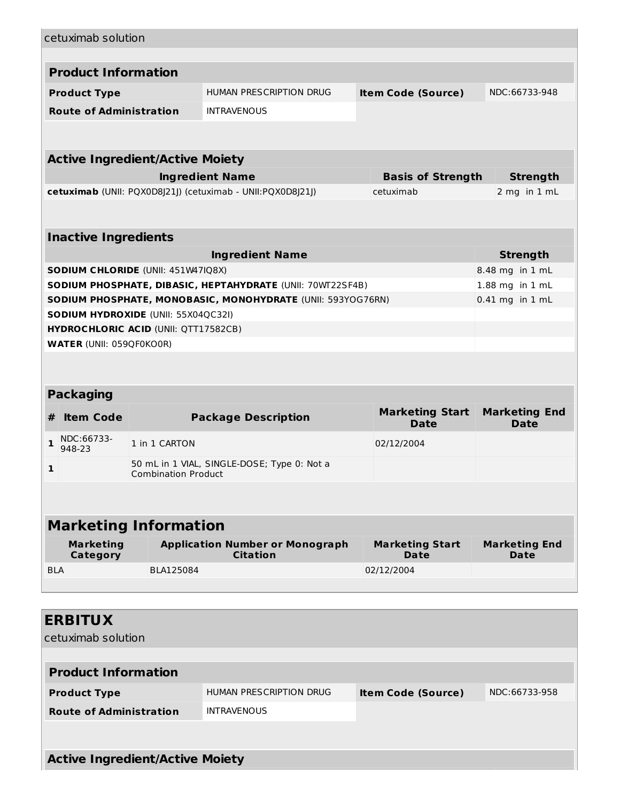|            | cetuximab solution              |                                            |                                                             |                                       |                                     |  |
|------------|---------------------------------|--------------------------------------------|-------------------------------------------------------------|---------------------------------------|-------------------------------------|--|
|            | <b>Product Information</b>      |                                            |                                                             |                                       |                                     |  |
|            |                                 |                                            |                                                             |                                       |                                     |  |
|            | <b>Product Type</b>             |                                            | HUMAN PRESCRIPTION DRUG                                     | <b>Item Code (Source)</b>             | NDC:66733-948                       |  |
|            | <b>Route of Administration</b>  |                                            | <b>INTRAVENOUS</b>                                          |                                       |                                     |  |
|            |                                 |                                            |                                                             |                                       |                                     |  |
|            |                                 | <b>Active Ingredient/Active Moiety</b>     |                                                             |                                       |                                     |  |
|            |                                 |                                            | <b>Ingredient Name</b>                                      | <b>Basis of Strength</b>              | <b>Strength</b>                     |  |
|            |                                 |                                            | cetuximab (UNII: PQX0D8J21J) (cetuximab - UNII:PQX0D8J21J)  | cetuximab                             | 2 mg in 1 mL                        |  |
|            |                                 |                                            |                                                             |                                       |                                     |  |
|            | <b>Inactive Ingredients</b>     |                                            |                                                             |                                       |                                     |  |
|            |                                 |                                            | <b>Ingredient Name</b>                                      |                                       | <b>Strength</b>                     |  |
|            |                                 | SODIUM CHLORIDE (UNII: 451W47IQ8X)         |                                                             |                                       | 8.48 mg in 1 mL                     |  |
|            |                                 |                                            | SODIUM PHOSPHATE, DIBASIC, HEPTAHYDRATE (UNII: 70WT22SF4B)  |                                       | 1.88 mg in 1 mL                     |  |
|            |                                 |                                            | SODIUM PHOSPHATE, MONOBASIC, MONOHYDRATE (UNII: 593YOG76RN) |                                       | $0.41$ mg in $1$ mL                 |  |
|            |                                 | <b>SODIUM HYDROXIDE (UNII: 55X04QC32I)</b> |                                                             |                                       |                                     |  |
|            |                                 | HYDROCHLORIC ACID (UNII: QTT17582CB)       |                                                             |                                       |                                     |  |
|            | <b>WATER (UNII: 059QF0KO0R)</b> |                                            |                                                             |                                       |                                     |  |
|            |                                 |                                            |                                                             |                                       |                                     |  |
|            | <b>Packaging</b>                |                                            |                                                             |                                       |                                     |  |
| #          | <b>Item Code</b>                |                                            | <b>Package Description</b>                                  | <b>Marketing Start</b><br><b>Date</b> | <b>Marketing End</b><br><b>Date</b> |  |
| 1          | NDC:66733-<br>948-23            | 1 in 1 CARTON                              |                                                             | 02/12/2004                            |                                     |  |
| 1          |                                 |                                            | 50 mL in 1 VIAL, SINGLE-DOSE; Type 0: Not a                 |                                       |                                     |  |
|            |                                 | <b>Combination Product</b>                 |                                                             |                                       |                                     |  |
|            |                                 |                                            |                                                             |                                       |                                     |  |
|            |                                 |                                            |                                                             |                                       |                                     |  |
|            |                                 | <b>Marketing Information</b>               |                                                             |                                       |                                     |  |
|            | <b>Marketing</b><br>Category    |                                            | <b>Application Number or Monograph</b><br><b>Citation</b>   | <b>Marketing Start</b><br>Date        | <b>Marketing End</b><br>Date        |  |
| <b>BLA</b> |                                 | BLA125084                                  |                                                             | 02/12/2004                            |                                     |  |
|            |                                 |                                            |                                                             |                                       |                                     |  |
|            | <b>ERBITUX</b>                  |                                            |                                                             |                                       |                                     |  |
|            | cetuximab solution              |                                            |                                                             |                                       |                                     |  |
|            |                                 |                                            |                                                             |                                       |                                     |  |
|            | <b>Product Information</b>      |                                            |                                                             |                                       |                                     |  |
|            | <b>Product Type</b>             |                                            | HUMAN PRESCRIPTION DRUG                                     | <b>Item Code (Source)</b>             | NDC:66733-958                       |  |
|            | <b>Route of Administration</b>  |                                            | <b>INTRAVENOUS</b>                                          |                                       |                                     |  |
|            |                                 |                                            |                                                             |                                       |                                     |  |
|            |                                 | <b>Active Ingredient/Active Moiety</b>     |                                                             |                                       |                                     |  |